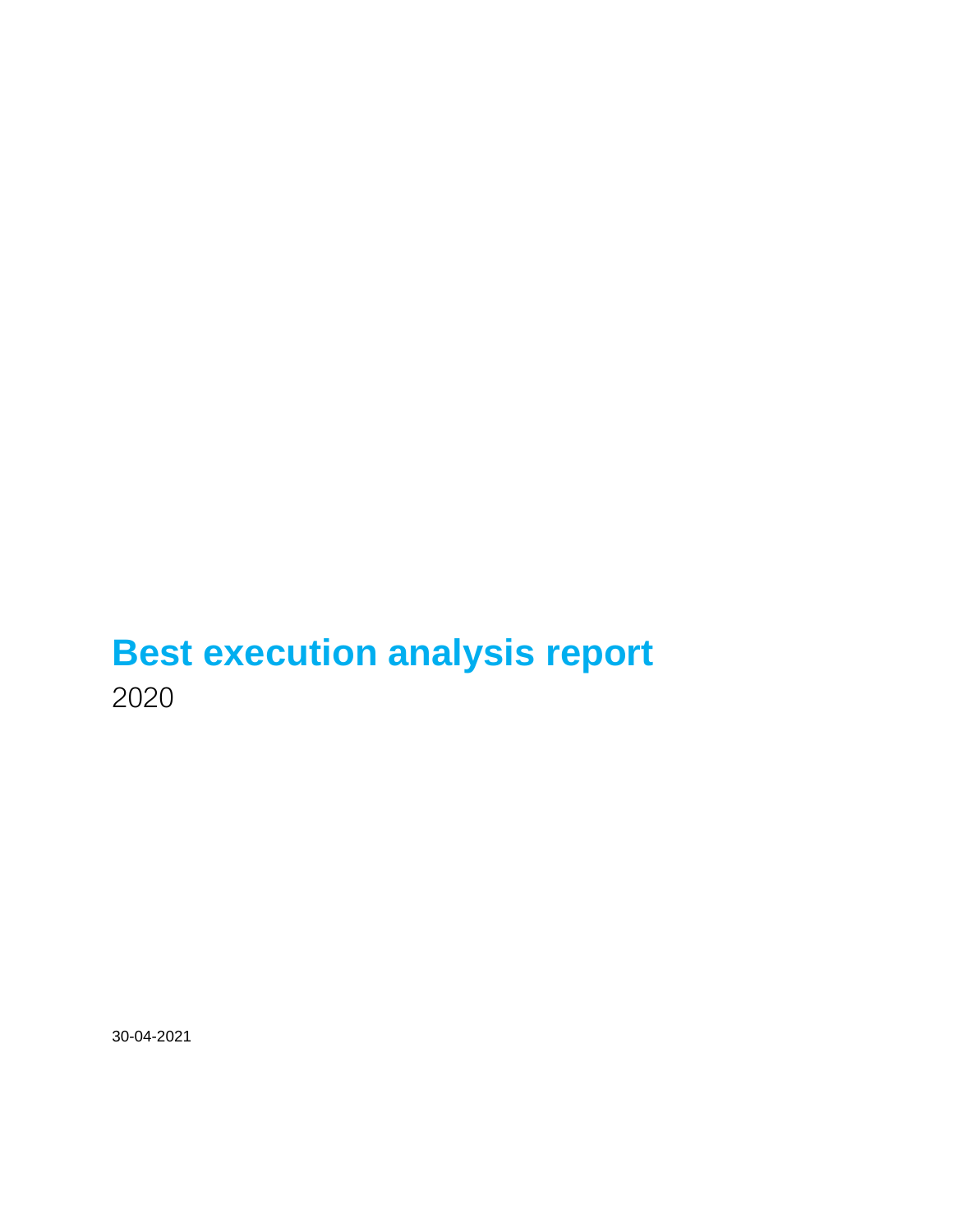# **Best execution analysis report** 2020

30-04-2021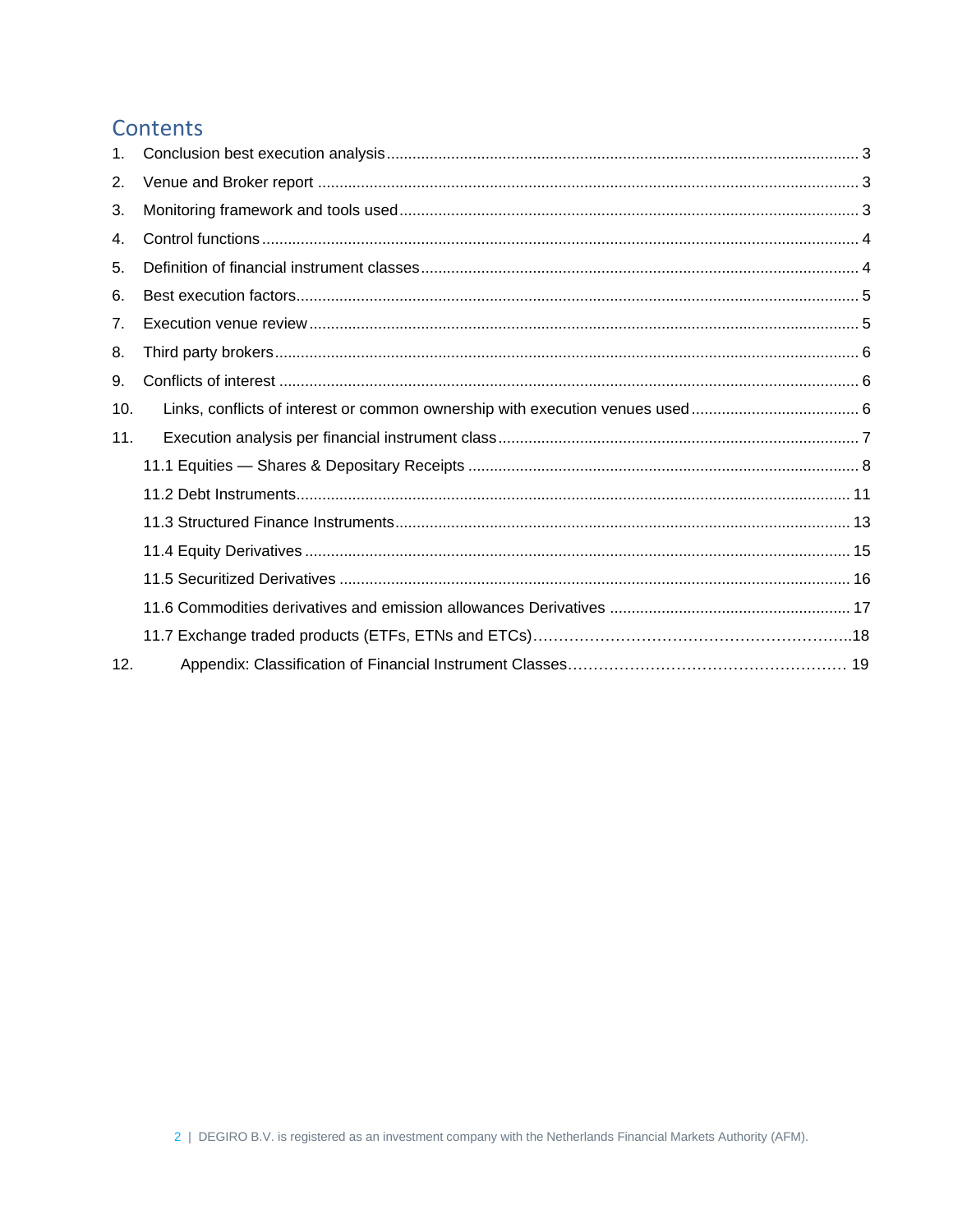### **Contents**

| 1 <sub>1</sub> |  |
|----------------|--|
| 2.             |  |
| 3.             |  |
| 4.             |  |
| 5.             |  |
| 6.             |  |
| 7.             |  |
| 8.             |  |
| 9.             |  |
| 10.            |  |
| 11.            |  |
|                |  |
|                |  |
|                |  |
|                |  |
|                |  |
|                |  |
|                |  |
| 12.            |  |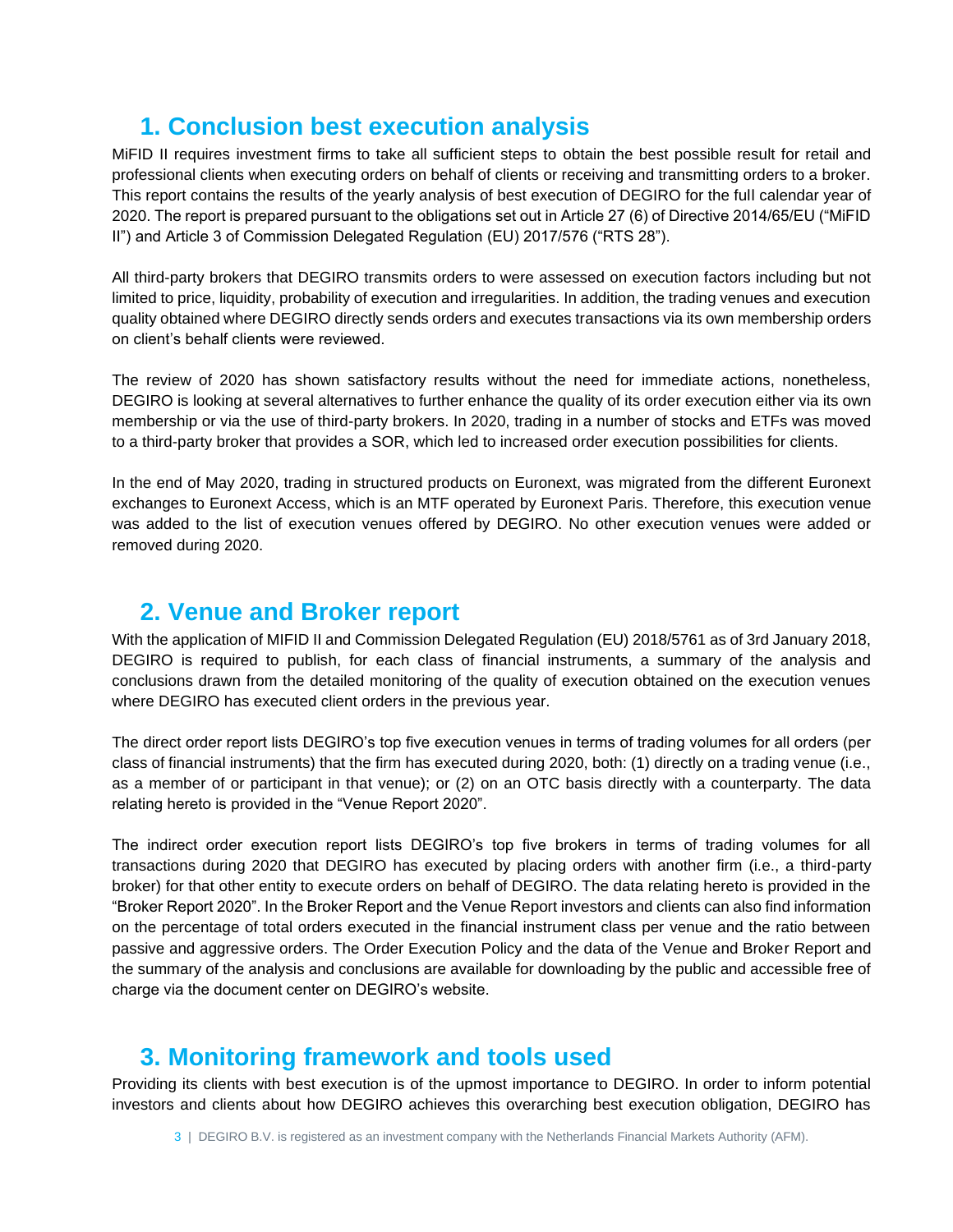# <span id="page-2-0"></span>**1. Conclusion best execution analysis**

MiFID II requires investment firms to take all sufficient steps to obtain the best possible result for retail and professional clients when executing orders on behalf of clients or receiving and transmitting orders to a broker. This report contains the results of the yearly analysis of best execution of DEGIRO for the full calendar year of 2020. The report is prepared pursuant to the obligations set out in Article 27 (6) of Directive 2014/65/EU ("MiFID II") and Article 3 of Commission Delegated Regulation (EU) 2017/576 ("RTS 28").

All third-party brokers that DEGIRO transmits orders to were assessed on execution factors including but not limited to price, liquidity, probability of execution and irregularities. In addition, the trading venues and execution quality obtained where DEGIRO directly sends orders and executes transactions via its own membership orders on client's behalf clients were reviewed.

The review of 2020 has shown satisfactory results without the need for immediate actions, nonetheless, DEGIRO is looking at several alternatives to further enhance the quality of its order execution either via its own membership or via the use of third-party brokers. In 2020, trading in a number of stocks and ETFs was moved to a third-party broker that provides a SOR, which led to increased order execution possibilities for clients.

In the end of May 2020, trading in structured products on Euronext, was migrated from the different Euronext exchanges to Euronext Access, which is an MTF operated by Euronext Paris. Therefore, this execution venue was added to the list of execution venues offered by DEGIRO. No other execution venues were added or removed during 2020.

### <span id="page-2-1"></span>**2. Venue and Broker report**

With the application of MIFID II and Commission Delegated Regulation (EU) 2018/5761 as of 3rd January 2018, DEGIRO is required to publish, for each class of financial instruments, a summary of the analysis and conclusions drawn from the detailed monitoring of the quality of execution obtained on the execution venues where DEGIRO has executed client orders in the previous year.

The direct order report lists DEGIRO's top five execution venues in terms of trading volumes for all orders (per class of financial instruments) that the firm has executed during 2020, both: (1) directly on a trading venue (i.e., as a member of or participant in that venue); or (2) on an OTC basis directly with a counterparty. The data relating hereto is provided in the "Venue Report 2020".

The indirect order execution report lists DEGIRO's top five brokers in terms of trading volumes for all transactions during 2020 that DEGIRO has executed by placing orders with another firm (i.e., a third-party broker) for that other entity to execute orders on behalf of DEGIRO. The data relating hereto is provided in the "Broker Report 2020". In the Broker Report and the Venue Report investors and clients can also find information on the percentage of total orders executed in the financial instrument class per venue and the ratio between passive and aggressive orders. The Order Execution Policy and the data of the Venue and Broker Report and the summary of the analysis and conclusions are available for downloading by the public and accessible free of charge via the document center on DEGIRO's website.

# <span id="page-2-2"></span>**3. Monitoring framework and tools used**

Providing its clients with best execution is of the upmost importance to DEGIRO. In order to inform potential investors and clients about how DEGIRO achieves this overarching best execution obligation, DEGIRO has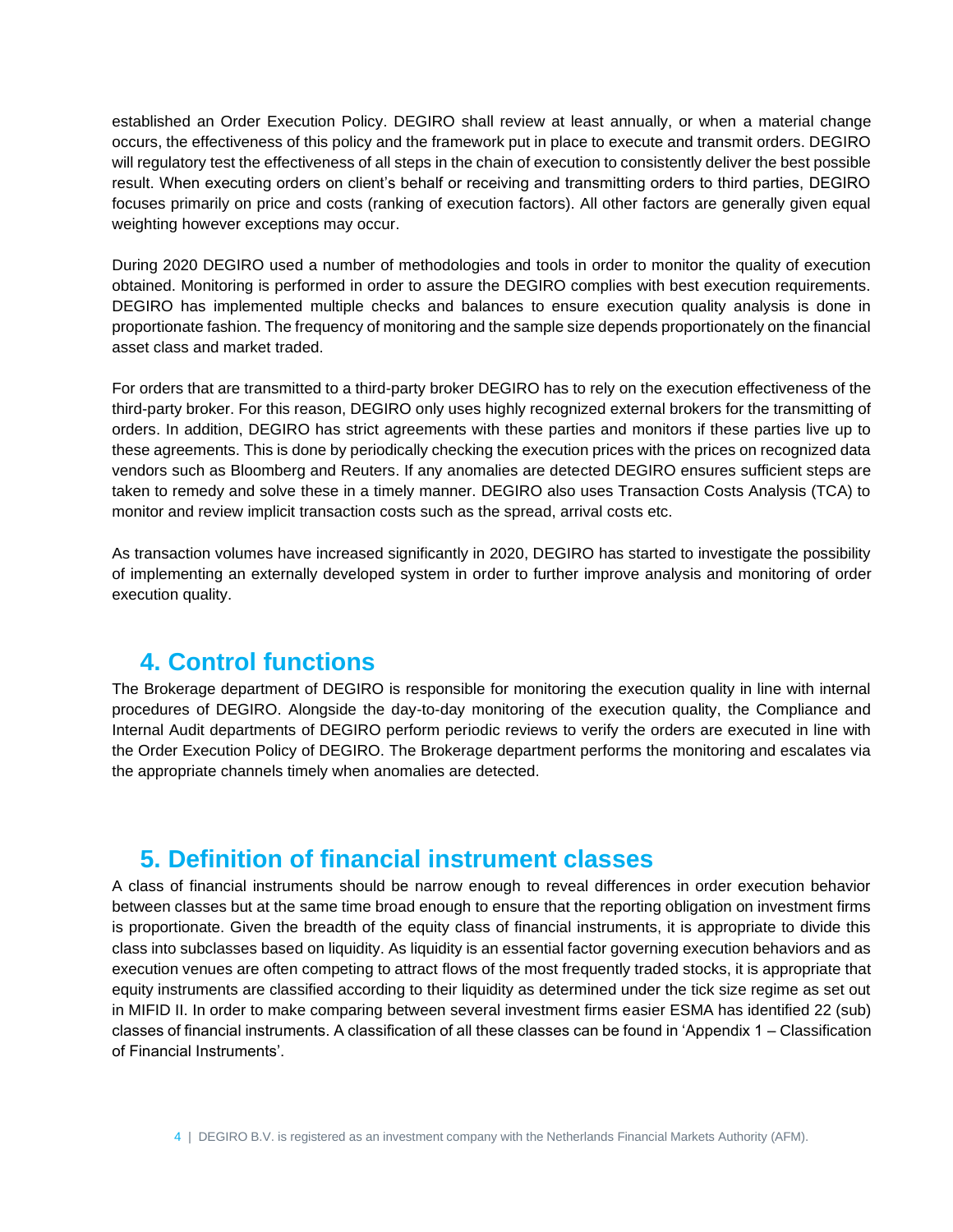established an Order Execution Policy. DEGIRO shall review at least annually, or when a material change occurs, the effectiveness of this policy and the framework put in place to execute and transmit orders. DEGIRO will regulatory test the effectiveness of all steps in the chain of execution to consistently deliver the best possible result. When executing orders on client's behalf or receiving and transmitting orders to third parties, DEGIRO focuses primarily on price and costs (ranking of execution factors). All other factors are generally given equal weighting however exceptions may occur.

During 2020 DEGIRO used a number of methodologies and tools in order to monitor the quality of execution obtained. Monitoring is performed in order to assure the DEGIRO complies with best execution requirements. DEGIRO has implemented multiple checks and balances to ensure execution quality analysis is done in proportionate fashion. The frequency of monitoring and the sample size depends proportionately on the financial asset class and market traded.

For orders that are transmitted to a third-party broker DEGIRO has to rely on the execution effectiveness of the third-party broker. For this reason, DEGIRO only uses highly recognized external brokers for the transmitting of orders. In addition, DEGIRO has strict agreements with these parties and monitors if these parties live up to these agreements. This is done by periodically checking the execution prices with the prices on recognized data vendors such as Bloomberg and Reuters. If any anomalies are detected DEGIRO ensures sufficient steps are taken to remedy and solve these in a timely manner. DEGIRO also uses Transaction Costs Analysis (TCA) to monitor and review implicit transaction costs such as the spread, arrival costs etc.

As transaction volumes have increased significantly in 2020, DEGIRO has started to investigate the possibility of implementing an externally developed system in order to further improve analysis and monitoring of order execution quality.

# <span id="page-3-0"></span>**4. Control functions**

The Brokerage department of DEGIRO is responsible for monitoring the execution quality in line with internal procedures of DEGIRO. Alongside the day-to-day monitoring of the execution quality, the Compliance and Internal Audit departments of DEGIRO perform periodic reviews to verify the orders are executed in line with the Order Execution Policy of DEGIRO. The Brokerage department performs the monitoring and escalates via the appropriate channels timely when anomalies are detected.

# <span id="page-3-1"></span>**5. Definition of financial instrument classes**

A class of financial instruments should be narrow enough to reveal differences in order execution behavior between classes but at the same time broad enough to ensure that the reporting obligation on investment firms is proportionate. Given the breadth of the equity class of financial instruments, it is appropriate to divide this class into subclasses based on liquidity. As liquidity is an essential factor governing execution behaviors and as execution venues are often competing to attract flows of the most frequently traded stocks, it is appropriate that equity instruments are classified according to their liquidity as determined under the tick size regime as set out in MIFID II. In order to make comparing between several investment firms easier ESMA has identified 22 (sub) classes of financial instruments. A classification of all these classes can be found in 'Appendix 1 – Classification of Financial Instruments'.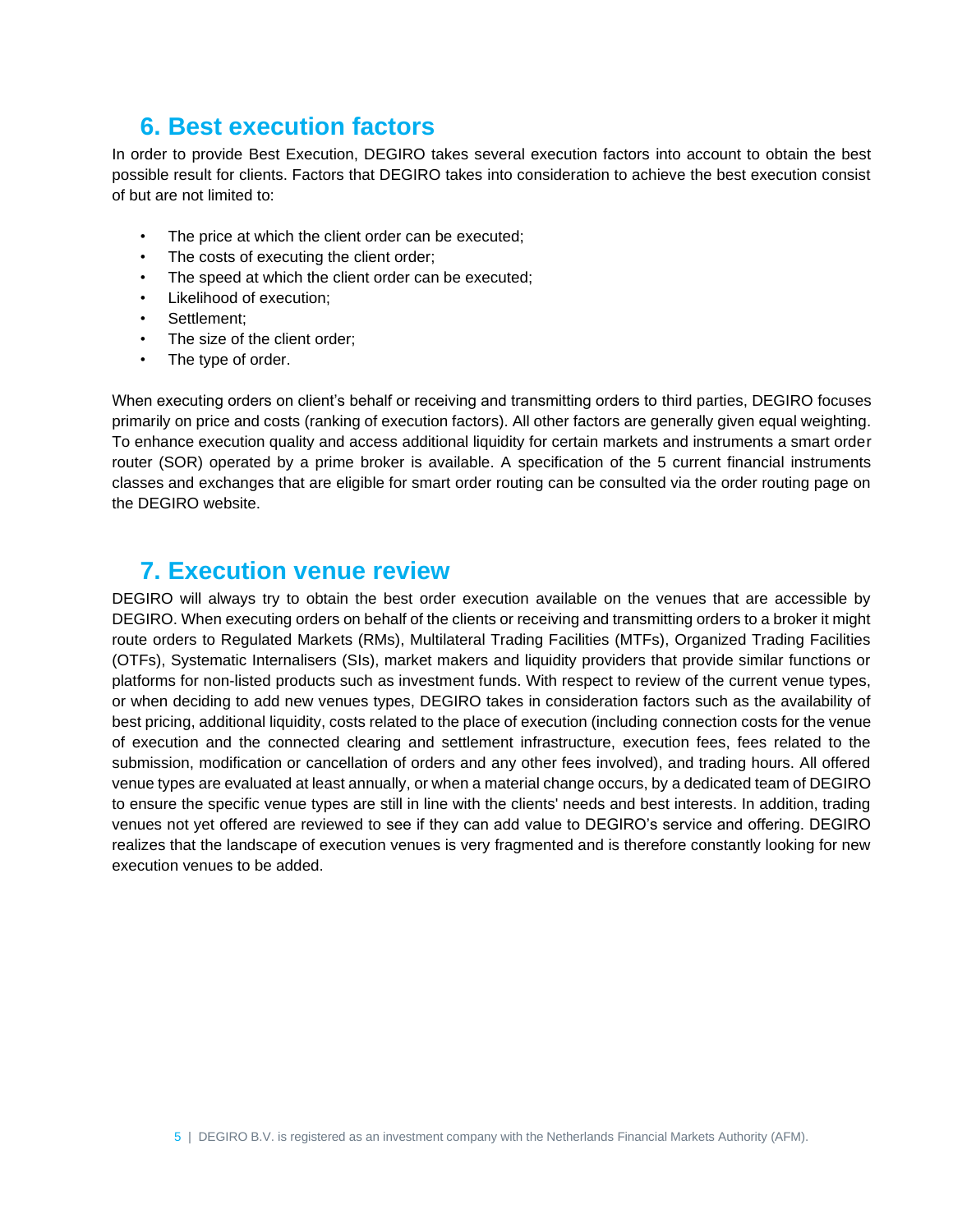### <span id="page-4-0"></span>**6. Best execution factors**

In order to provide Best Execution, DEGIRO takes several execution factors into account to obtain the best possible result for clients. Factors that DEGIRO takes into consideration to achieve the best execution consist of but are not limited to:

- The price at which the client order can be executed;
- The costs of executing the client order;
- The speed at which the client order can be executed;
- Likelihood of execution;
- Settlement;
- The size of the client order;
- The type of order.

When executing orders on client's behalf or receiving and transmitting orders to third parties, DEGIRO focuses primarily on price and costs (ranking of execution factors). All other factors are generally given equal weighting. To enhance execution quality and access additional liquidity for certain markets and instruments a smart order router (SOR) operated by a prime broker is available. A specification of the 5 current financial instruments classes and exchanges that are eligible for smart order routing can be consulted via the order routing page on the DEGIRO website.

### <span id="page-4-1"></span>**7. Execution venue review**

DEGIRO will always try to obtain the best order execution available on the venues that are accessible by DEGIRO. When executing orders on behalf of the clients or receiving and transmitting orders to a broker it might route orders to Regulated Markets (RMs), Multilateral Trading Facilities (MTFs), Organized Trading Facilities (OTFs), Systematic Internalisers (SIs), market makers and liquidity providers that provide similar functions or platforms for non-listed products such as investment funds. With respect to review of the current venue types, or when deciding to add new venues types, DEGIRO takes in consideration factors such as the availability of best pricing, additional liquidity, costs related to the place of execution (including connection costs for the venue of execution and the connected clearing and settlement infrastructure, execution fees, fees related to the submission, modification or cancellation of orders and any other fees involved), and trading hours. All offered venue types are evaluated at least annually, or when a material change occurs, by a dedicated team of DEGIRO to ensure the specific venue types are still in line with the clients' needs and best interests. In addition, trading venues not yet offered are reviewed to see if they can add value to DEGIRO's service and offering. DEGIRO realizes that the landscape of execution venues is very fragmented and is therefore constantly looking for new execution venues to be added.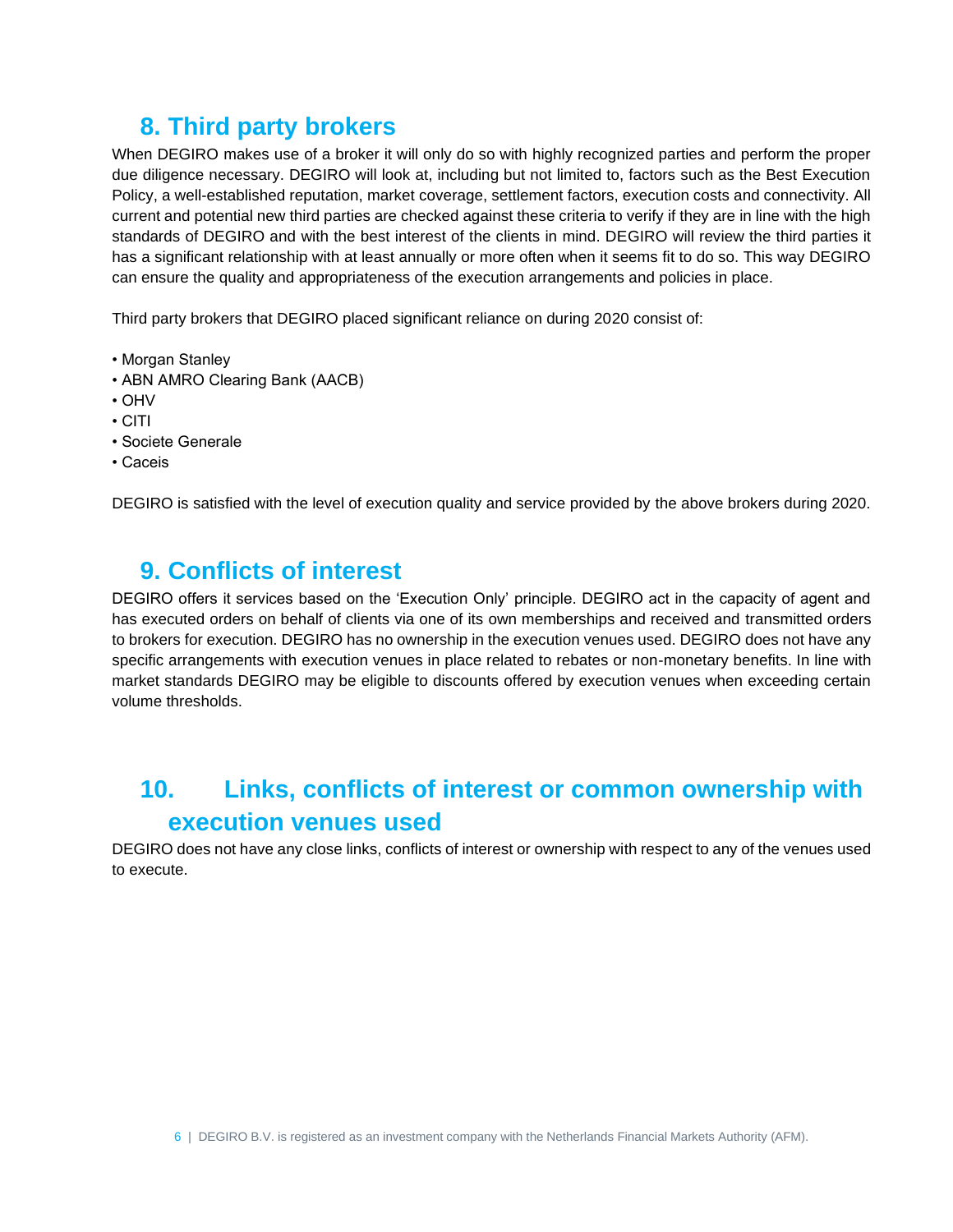# <span id="page-5-0"></span>**8. Third party brokers**

When DEGIRO makes use of a broker it will only do so with highly recognized parties and perform the proper due diligence necessary. DEGIRO will look at, including but not limited to, factors such as the Best Execution Policy, a well-established reputation, market coverage, settlement factors, execution costs and connectivity. All current and potential new third parties are checked against these criteria to verify if they are in line with the high standards of DEGIRO and with the best interest of the clients in mind. DEGIRO will review the third parties it has a significant relationship with at least annually or more often when it seems fit to do so. This way DEGIRO can ensure the quality and appropriateness of the execution arrangements and policies in place.

Third party brokers that DEGIRO placed significant reliance on during 2020 consist of:

- Morgan Stanley
- ABN AMRO Clearing Bank (AACB)
- OHV
- CITI
- Societe Generale
- Caceis

DEGIRO is satisfied with the level of execution quality and service provided by the above brokers during 2020.

# <span id="page-5-1"></span>**9. Conflicts of interest**

DEGIRO offers it services based on the 'Execution Only' principle. DEGIRO act in the capacity of agent and has executed orders on behalf of clients via one of its own memberships and received and transmitted orders to brokers for execution. DEGIRO has no ownership in the execution venues used. DEGIRO does not have any specific arrangements with execution venues in place related to rebates or non-monetary benefits. In line with market standards DEGIRO may be eligible to discounts offered by execution venues when exceeding certain volume thresholds.

# <span id="page-5-2"></span>**10. Links, conflicts of interest or common ownership with execution venues used**

DEGIRO does not have any close links, conflicts of interest or ownership with respect to any of the venues used to execute.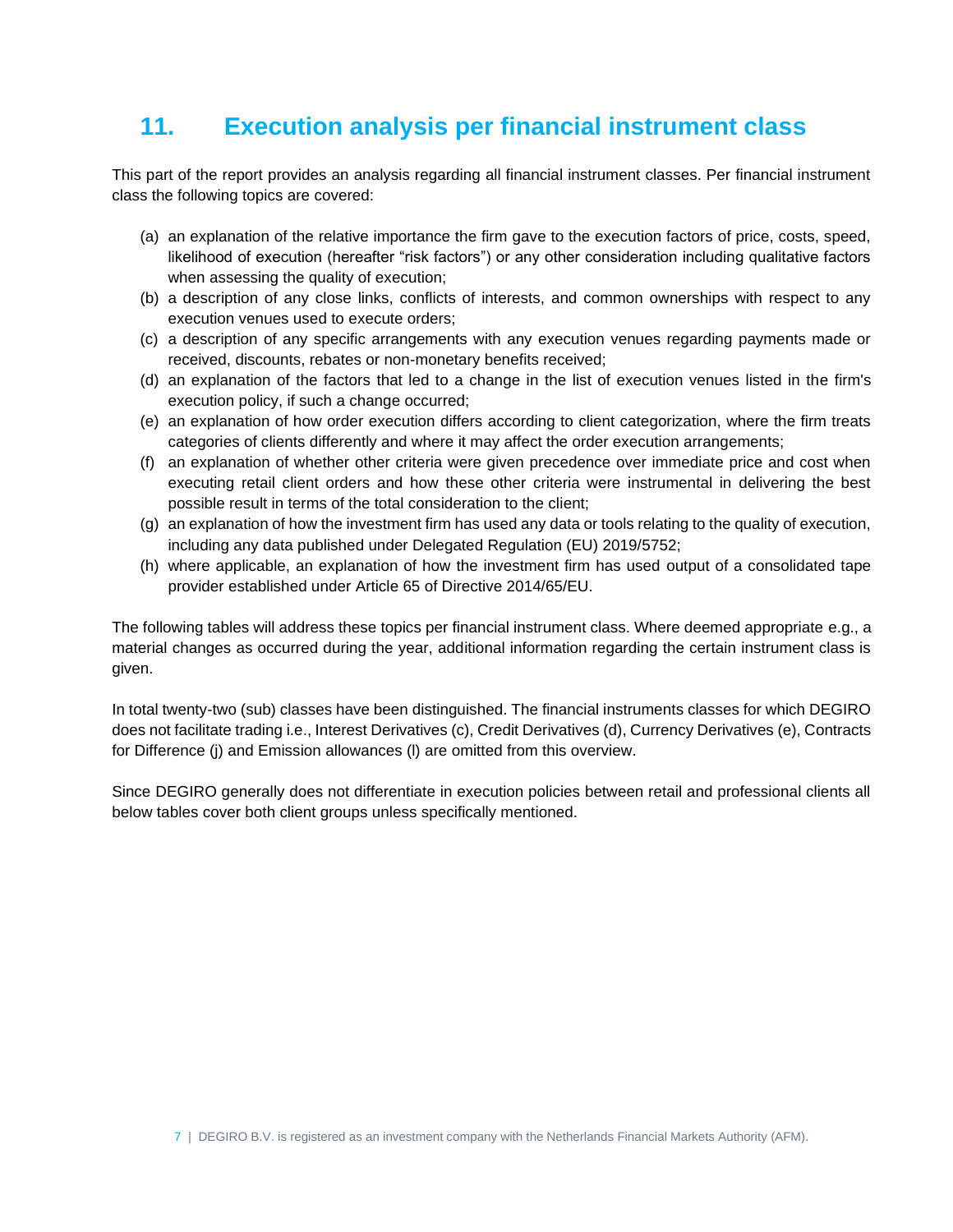# <span id="page-6-0"></span>**11. Execution analysis per financial instrument class**

This part of the report provides an analysis regarding all financial instrument classes. Per financial instrument class the following topics are covered:

- (a) an explanation of the relative importance the firm gave to the execution factors of price, costs, speed, likelihood of execution (hereafter "risk factors") or any other consideration including qualitative factors when assessing the quality of execution;
- (b) a description of any close links, conflicts of interests, and common ownerships with respect to any execution venues used to execute orders;
- (c) a description of any specific arrangements with any execution venues regarding payments made or received, discounts, rebates or non-monetary benefits received;
- (d) an explanation of the factors that led to a change in the list of execution venues listed in the firm's execution policy, if such a change occurred;
- (e) an explanation of how order execution differs according to client categorization, where the firm treats categories of clients differently and where it may affect the order execution arrangements;
- (f) an explanation of whether other criteria were given precedence over immediate price and cost when executing retail client orders and how these other criteria were instrumental in delivering the best possible result in terms of the total consideration to the client;
- (g) an explanation of how the investment firm has used any data or tools relating to the quality of execution, including any data published under Delegated Regulation (EU) 2019/5752;
- (h) where applicable, an explanation of how the investment firm has used output of a consolidated tape provider established under Article 65 of Directive 2014/65/EU.

The following tables will address these topics per financial instrument class. Where deemed appropriate e.g., a material changes as occurred during the year, additional information regarding the certain instrument class is given.

In total twenty-two (sub) classes have been distinguished. The financial instruments classes for which DEGIRO does not facilitate trading i.e., Interest Derivatives (c), Credit Derivatives (d), Currency Derivatives (e), Contracts for Difference (j) and Emission allowances (l) are omitted from this overview.

Since DEGIRO generally does not differentiate in execution policies between retail and professional clients all below tables cover both client groups unless specifically mentioned.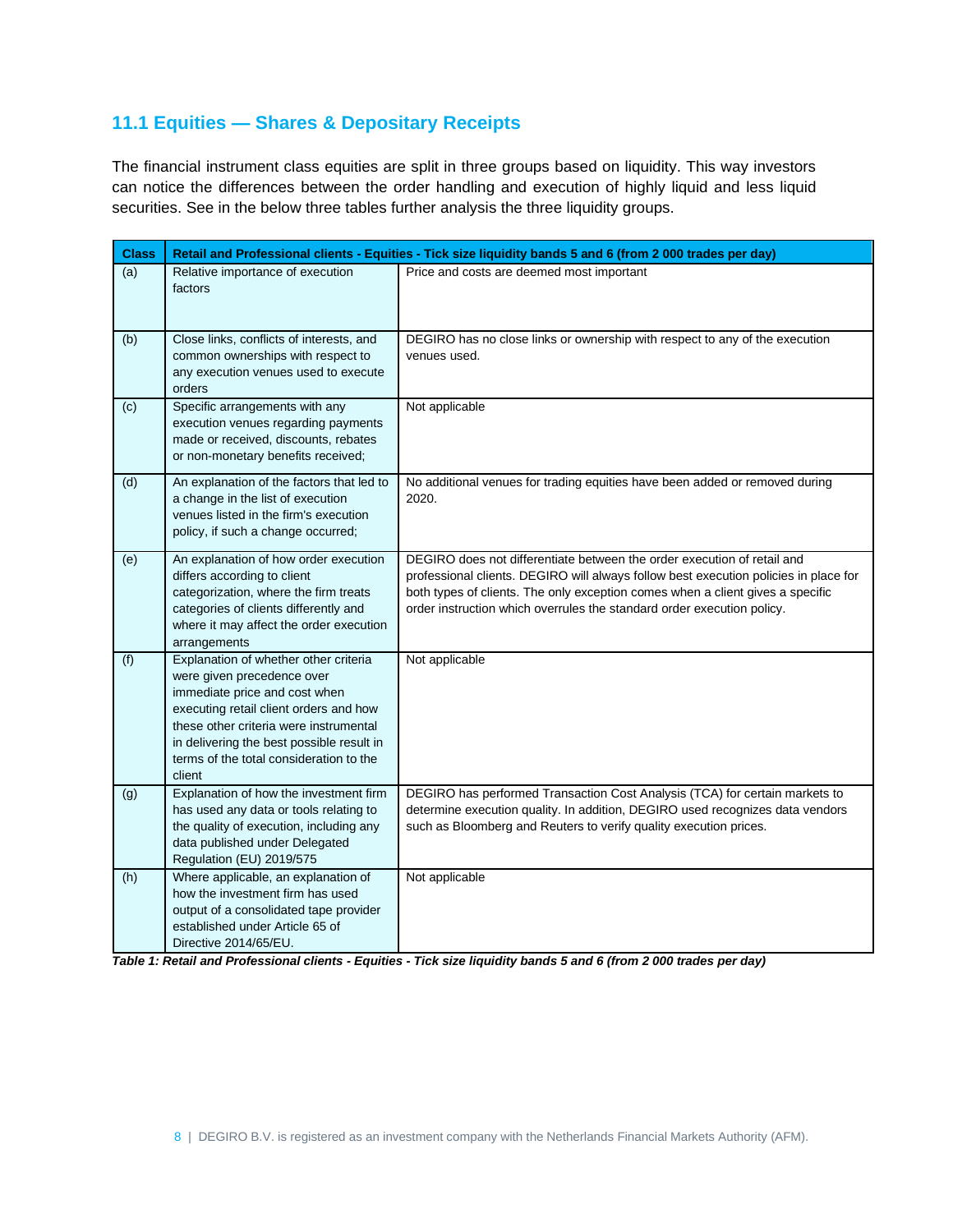#### <span id="page-7-0"></span>**11.1 Equities — Shares & Depositary Receipts**

The financial instrument class equities are split in three groups based on liquidity. This way investors can notice the differences between the order handling and execution of highly liquid and less liquid securities. See in the below three tables further analysis the three liquidity groups.

| <b>Class</b> |                                                                                                                                                                                                                                                                                            | Retail and Professional clients - Equities - Tick size liquidity bands 5 and 6 (from 2 000 trades per day)                                                                                                                                                                                                                  |
|--------------|--------------------------------------------------------------------------------------------------------------------------------------------------------------------------------------------------------------------------------------------------------------------------------------------|-----------------------------------------------------------------------------------------------------------------------------------------------------------------------------------------------------------------------------------------------------------------------------------------------------------------------------|
| (a)          | Relative importance of execution<br>factors                                                                                                                                                                                                                                                | Price and costs are deemed most important                                                                                                                                                                                                                                                                                   |
| (b)          | Close links, conflicts of interests, and<br>common ownerships with respect to<br>any execution venues used to execute<br>orders                                                                                                                                                            | DEGIRO has no close links or ownership with respect to any of the execution<br>venues used.                                                                                                                                                                                                                                 |
| (c)          | Specific arrangements with any<br>execution venues regarding payments<br>made or received, discounts, rebates<br>or non-monetary benefits received;                                                                                                                                        | Not applicable                                                                                                                                                                                                                                                                                                              |
| (d)          | An explanation of the factors that led to<br>a change in the list of execution<br>venues listed in the firm's execution<br>policy, if such a change occurred;                                                                                                                              | No additional venues for trading equities have been added or removed during<br>2020.                                                                                                                                                                                                                                        |
| (e)          | An explanation of how order execution<br>differs according to client<br>categorization, where the firm treats<br>categories of clients differently and<br>where it may affect the order execution<br>arrangements                                                                          | DEGIRO does not differentiate between the order execution of retail and<br>professional clients. DEGIRO will always follow best execution policies in place for<br>both types of clients. The only exception comes when a client gives a specific<br>order instruction which overrules the standard order execution policy. |
| (f)          | Explanation of whether other criteria<br>were given precedence over<br>immediate price and cost when<br>executing retail client orders and how<br>these other criteria were instrumental<br>in delivering the best possible result in<br>terms of the total consideration to the<br>client | Not applicable                                                                                                                                                                                                                                                                                                              |
| (g)          | Explanation of how the investment firm<br>has used any data or tools relating to<br>the quality of execution, including any<br>data published under Delegated<br>Regulation (EU) 2019/575                                                                                                  | DEGIRO has performed Transaction Cost Analysis (TCA) for certain markets to<br>determine execution quality. In addition, DEGIRO used recognizes data vendors<br>such as Bloomberg and Reuters to verify quality execution prices.                                                                                           |
| (h)          | Where applicable, an explanation of<br>how the investment firm has used<br>output of a consolidated tape provider<br>established under Article 65 of<br>Directive 2014/65/EU.                                                                                                              | Not applicable                                                                                                                                                                                                                                                                                                              |

*Table 1: Retail and Professional clients - Equities - Tick size liquidity bands 5 and 6 (from 2 000 trades per day)*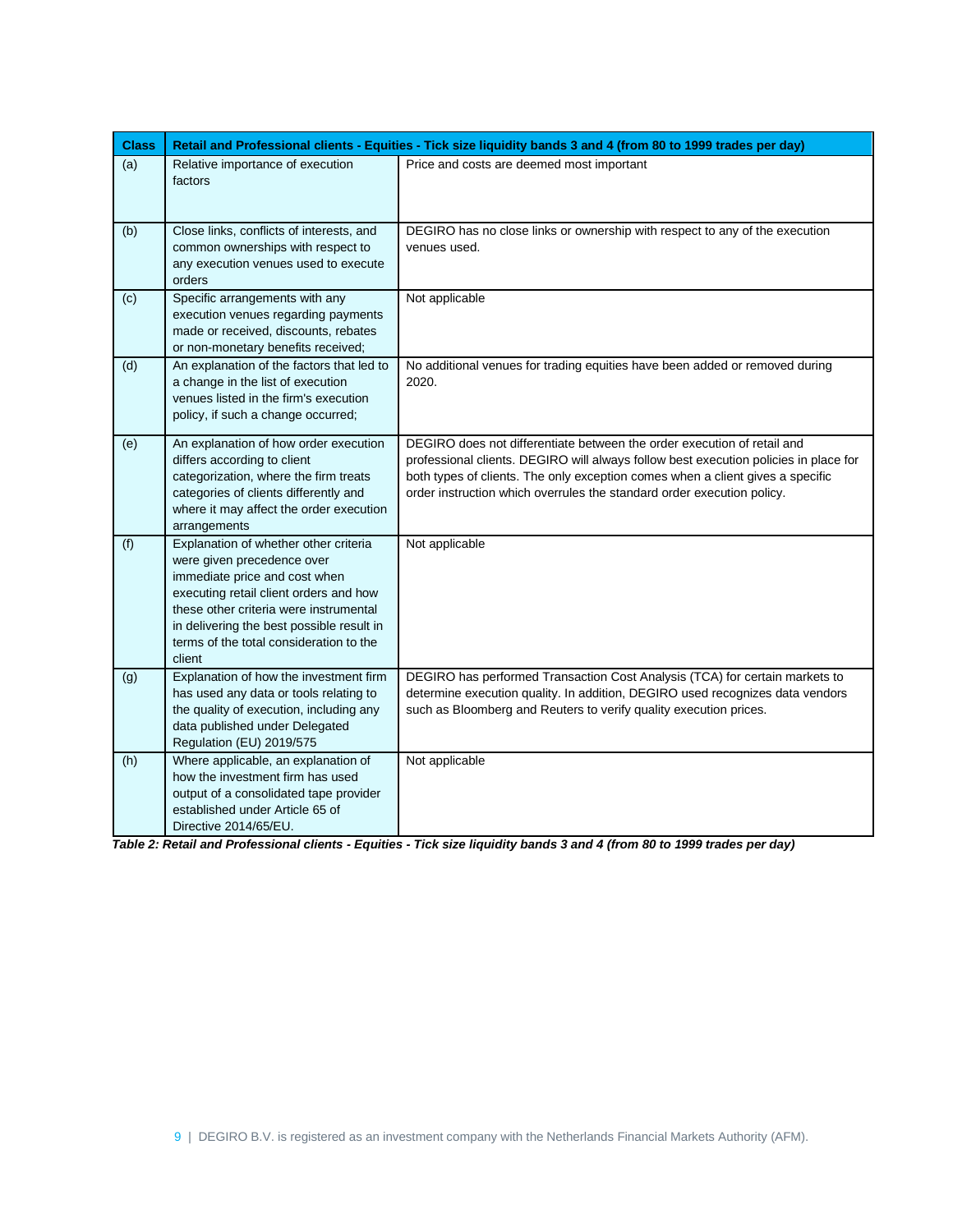| <b>Class</b> |                                                                                                                                                                                                                                                                                            | Retail and Professional clients - Equities - Tick size liquidity bands 3 and 4 (from 80 to 1999 trades per day)                                                                                                                                                                                                             |
|--------------|--------------------------------------------------------------------------------------------------------------------------------------------------------------------------------------------------------------------------------------------------------------------------------------------|-----------------------------------------------------------------------------------------------------------------------------------------------------------------------------------------------------------------------------------------------------------------------------------------------------------------------------|
| (a)          | Relative importance of execution<br>factors                                                                                                                                                                                                                                                | Price and costs are deemed most important                                                                                                                                                                                                                                                                                   |
| (b)          | Close links, conflicts of interests, and<br>common ownerships with respect to<br>any execution venues used to execute<br>orders                                                                                                                                                            | DEGIRO has no close links or ownership with respect to any of the execution<br>venues used.                                                                                                                                                                                                                                 |
| (c)          | Specific arrangements with any<br>execution venues regarding payments<br>made or received, discounts, rebates<br>or non-monetary benefits received;                                                                                                                                        | Not applicable                                                                                                                                                                                                                                                                                                              |
| (d)          | An explanation of the factors that led to<br>a change in the list of execution<br>venues listed in the firm's execution<br>policy, if such a change occurred;                                                                                                                              | No additional venues for trading equities have been added or removed during<br>2020.                                                                                                                                                                                                                                        |
| (e)          | An explanation of how order execution<br>differs according to client<br>categorization, where the firm treats<br>categories of clients differently and<br>where it may affect the order execution<br>arrangements                                                                          | DEGIRO does not differentiate between the order execution of retail and<br>professional clients. DEGIRO will always follow best execution policies in place for<br>both types of clients. The only exception comes when a client gives a specific<br>order instruction which overrules the standard order execution policy. |
| (f)          | Explanation of whether other criteria<br>were given precedence over<br>immediate price and cost when<br>executing retail client orders and how<br>these other criteria were instrumental<br>in delivering the best possible result in<br>terms of the total consideration to the<br>client | Not applicable                                                                                                                                                                                                                                                                                                              |
| (g)          | Explanation of how the investment firm<br>has used any data or tools relating to<br>the quality of execution, including any<br>data published under Delegated<br>Regulation (EU) 2019/575                                                                                                  | DEGIRO has performed Transaction Cost Analysis (TCA) for certain markets to<br>determine execution quality. In addition, DEGIRO used recognizes data vendors<br>such as Bloomberg and Reuters to verify quality execution prices.                                                                                           |
| (h)          | Where applicable, an explanation of<br>how the investment firm has used<br>output of a consolidated tape provider<br>established under Article 65 of<br>Directive 2014/65/EU.                                                                                                              | Not applicable                                                                                                                                                                                                                                                                                                              |

*Table 2: Retail and Professional clients - Equities - Tick size liquidity bands 3 and 4 (from 80 to 1999 trades per day)*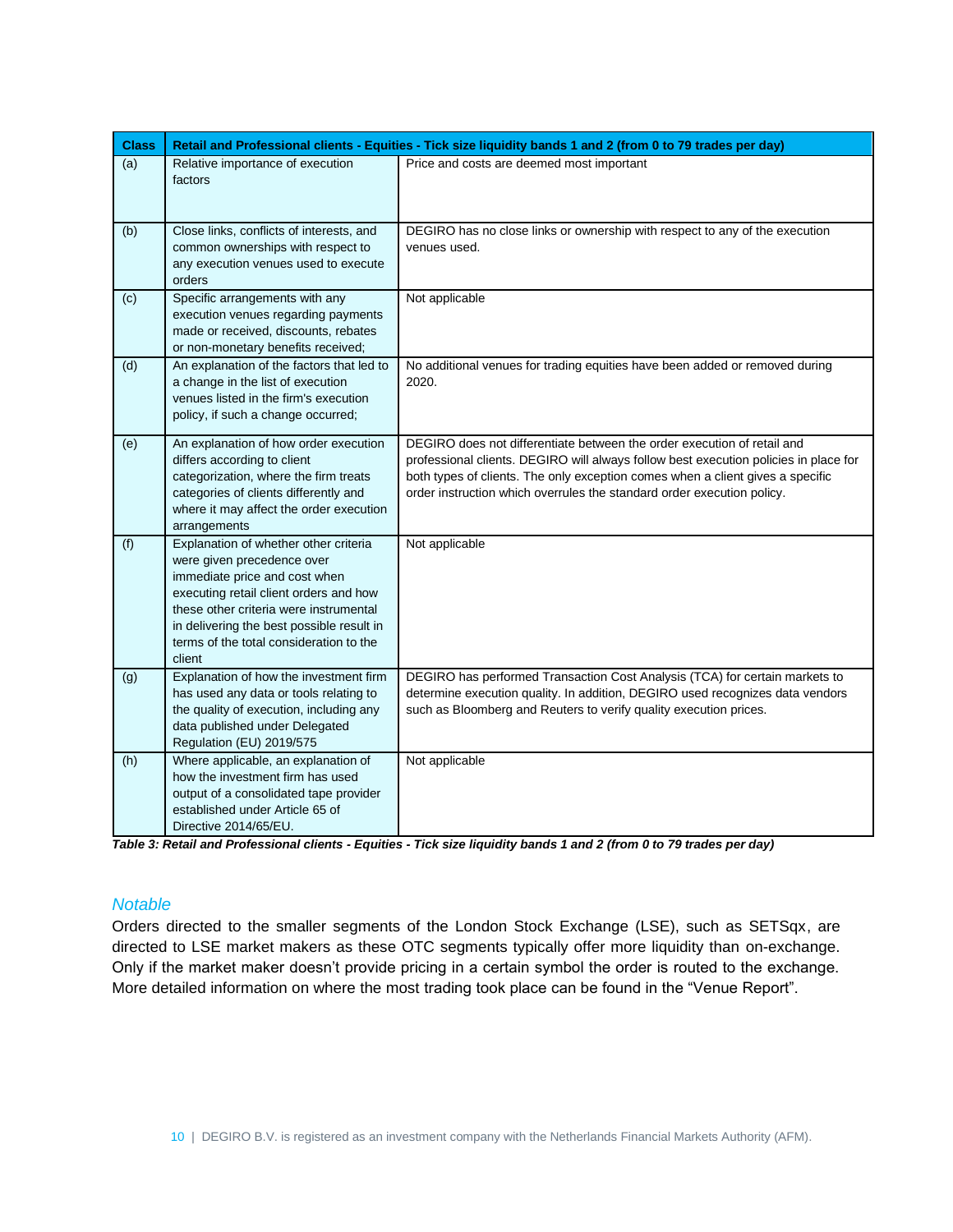| <b>Class</b>   |                                                                                                                                                                                                                                                                                            | Retail and Professional clients - Equities - Tick size liquidity bands 1 and 2 (from 0 to 79 trades per day)                                                                                                                                                                                                                |
|----------------|--------------------------------------------------------------------------------------------------------------------------------------------------------------------------------------------------------------------------------------------------------------------------------------------|-----------------------------------------------------------------------------------------------------------------------------------------------------------------------------------------------------------------------------------------------------------------------------------------------------------------------------|
| (a)            | Relative importance of execution<br>factors                                                                                                                                                                                                                                                | Price and costs are deemed most important                                                                                                                                                                                                                                                                                   |
| (b)            | Close links, conflicts of interests, and<br>common ownerships with respect to<br>any execution venues used to execute<br>orders                                                                                                                                                            | DEGIRO has no close links or ownership with respect to any of the execution<br>venues used.                                                                                                                                                                                                                                 |
| $\overline{c}$ | Specific arrangements with any<br>execution venues regarding payments<br>made or received, discounts, rebates<br>or non-monetary benefits received;                                                                                                                                        | Not applicable                                                                                                                                                                                                                                                                                                              |
| (d)            | An explanation of the factors that led to<br>a change in the list of execution<br>venues listed in the firm's execution<br>policy, if such a change occurred;                                                                                                                              | No additional venues for trading equities have been added or removed during<br>2020.                                                                                                                                                                                                                                        |
| (e)            | An explanation of how order execution<br>differs according to client<br>categorization, where the firm treats<br>categories of clients differently and<br>where it may affect the order execution<br>arrangements                                                                          | DEGIRO does not differentiate between the order execution of retail and<br>professional clients. DEGIRO will always follow best execution policies in place for<br>both types of clients. The only exception comes when a client gives a specific<br>order instruction which overrules the standard order execution policy. |
| (f)            | Explanation of whether other criteria<br>were given precedence over<br>immediate price and cost when<br>executing retail client orders and how<br>these other criteria were instrumental<br>in delivering the best possible result in<br>terms of the total consideration to the<br>client | Not applicable                                                                                                                                                                                                                                                                                                              |
| (g)            | Explanation of how the investment firm<br>has used any data or tools relating to<br>the quality of execution, including any<br>data published under Delegated<br>Regulation (EU) 2019/575                                                                                                  | DEGIRO has performed Transaction Cost Analysis (TCA) for certain markets to<br>determine execution quality. In addition, DEGIRO used recognizes data vendors<br>such as Bloomberg and Reuters to verify quality execution prices.                                                                                           |
| (h)            | Where applicable, an explanation of<br>how the investment firm has used<br>output of a consolidated tape provider<br>established under Article 65 of<br>Directive 2014/65/EU.                                                                                                              | Not applicable                                                                                                                                                                                                                                                                                                              |

*Table 3: Retail and Professional clients - Equities - Tick size liquidity bands 1 and 2 (from 0 to 79 trades per day)*

#### *Notable*

Orders directed to the smaller segments of the London Stock Exchange (LSE), such as SETSqx, are directed to LSE market makers as these OTC segments typically offer more liquidity than on-exchange. Only if the market maker doesn't provide pricing in a certain symbol the order is routed to the exchange. More detailed information on where the most trading took place can be found in the "Venue Report".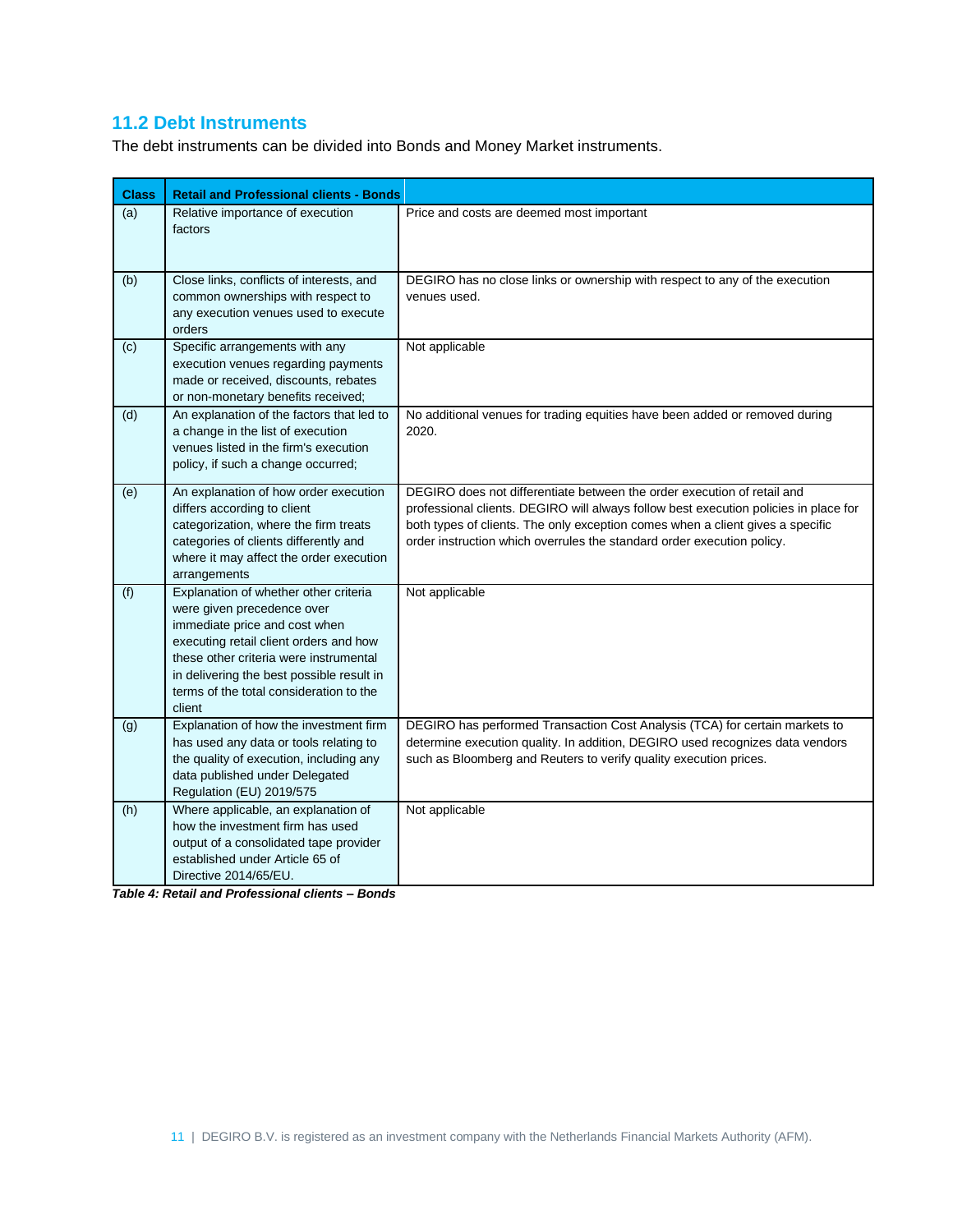### <span id="page-10-0"></span>**11.2 Debt Instruments**

The debt instruments can be divided into Bonds and Money Market instruments.

| <b>Class</b> | <b>Retail and Professional clients - Bonds</b>                                                                                                                                                                                                                                             |                                                                                                                                                                                                                                                                                                                             |
|--------------|--------------------------------------------------------------------------------------------------------------------------------------------------------------------------------------------------------------------------------------------------------------------------------------------|-----------------------------------------------------------------------------------------------------------------------------------------------------------------------------------------------------------------------------------------------------------------------------------------------------------------------------|
| (a)          | Relative importance of execution<br>factors                                                                                                                                                                                                                                                | Price and costs are deemed most important                                                                                                                                                                                                                                                                                   |
| (b)          | Close links, conflicts of interests, and<br>common ownerships with respect to<br>any execution venues used to execute<br>orders                                                                                                                                                            | DEGIRO has no close links or ownership with respect to any of the execution<br>venues used.                                                                                                                                                                                                                                 |
| (c)          | Specific arrangements with any<br>execution venues regarding payments<br>made or received, discounts, rebates<br>or non-monetary benefits received;                                                                                                                                        | Not applicable                                                                                                                                                                                                                                                                                                              |
| (d)          | An explanation of the factors that led to<br>a change in the list of execution<br>venues listed in the firm's execution<br>policy, if such a change occurred;                                                                                                                              | No additional venues for trading equities have been added or removed during<br>2020.                                                                                                                                                                                                                                        |
| (e)          | An explanation of how order execution<br>differs according to client<br>categorization, where the firm treats<br>categories of clients differently and<br>where it may affect the order execution<br>arrangements                                                                          | DEGIRO does not differentiate between the order execution of retail and<br>professional clients. DEGIRO will always follow best execution policies in place for<br>both types of clients. The only exception comes when a client gives a specific<br>order instruction which overrules the standard order execution policy. |
| (f)          | Explanation of whether other criteria<br>were given precedence over<br>immediate price and cost when<br>executing retail client orders and how<br>these other criteria were instrumental<br>in delivering the best possible result in<br>terms of the total consideration to the<br>client | Not applicable                                                                                                                                                                                                                                                                                                              |
| (g)          | Explanation of how the investment firm<br>has used any data or tools relating to<br>the quality of execution, including any<br>data published under Delegated<br>Regulation (EU) 2019/575                                                                                                  | DEGIRO has performed Transaction Cost Analysis (TCA) for certain markets to<br>determine execution quality. In addition, DEGIRO used recognizes data vendors<br>such as Bloomberg and Reuters to verify quality execution prices.                                                                                           |
| (h)          | Where applicable, an explanation of<br>how the investment firm has used<br>output of a consolidated tape provider<br>established under Article 65 of<br>Directive 2014/65/EU.                                                                                                              | Not applicable                                                                                                                                                                                                                                                                                                              |

*Table 4: Retail and Professional clients – Bonds*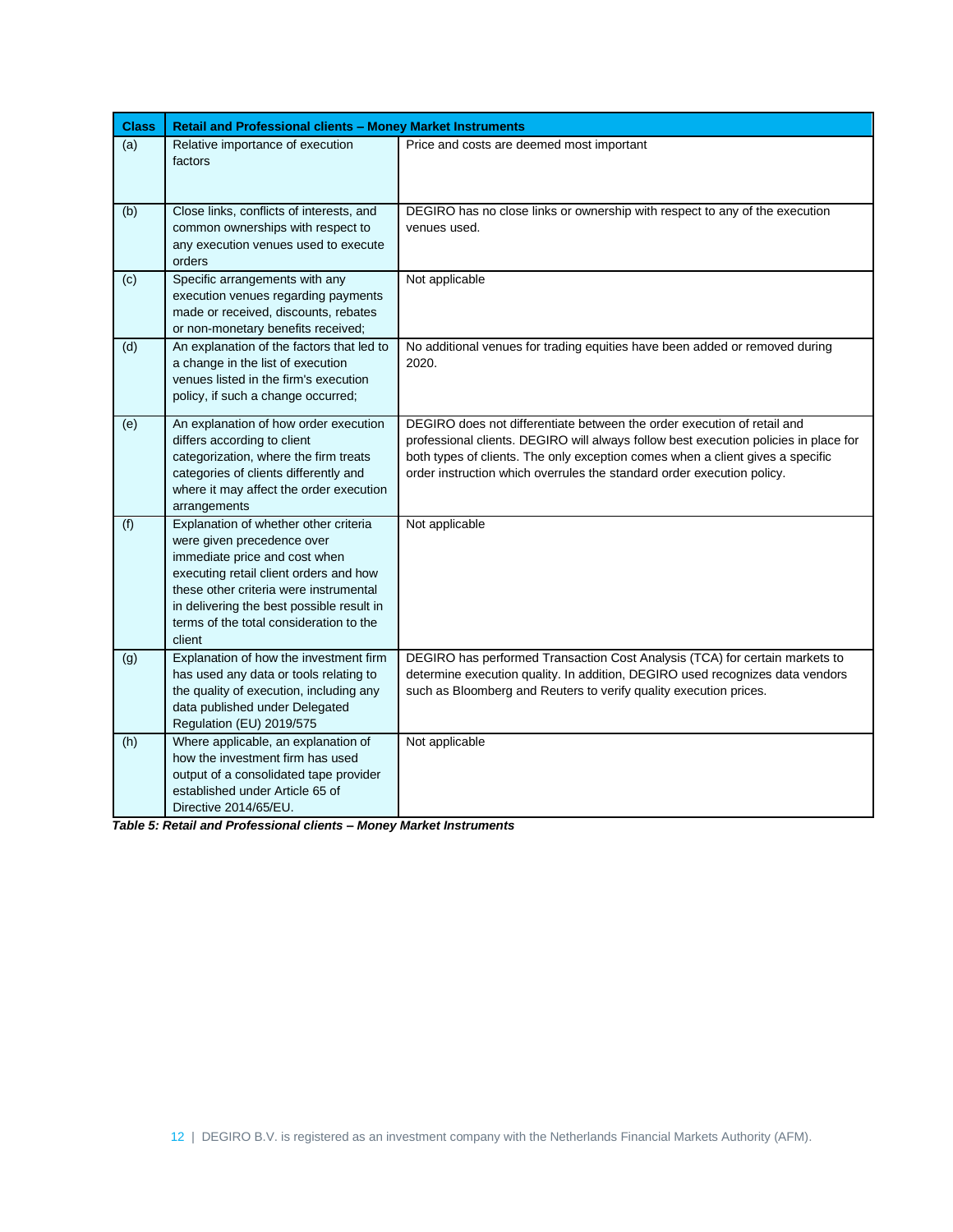| <b>Class</b> | <b>Retail and Professional clients - Money Market Instruments</b>                                                                                                                                                                                                                          |                                                                                                                                                                                                                                                                                                                             |
|--------------|--------------------------------------------------------------------------------------------------------------------------------------------------------------------------------------------------------------------------------------------------------------------------------------------|-----------------------------------------------------------------------------------------------------------------------------------------------------------------------------------------------------------------------------------------------------------------------------------------------------------------------------|
| (a)          | Relative importance of execution<br>factors                                                                                                                                                                                                                                                | Price and costs are deemed most important                                                                                                                                                                                                                                                                                   |
| (b)          | Close links, conflicts of interests, and<br>common ownerships with respect to<br>any execution venues used to execute<br>orders                                                                                                                                                            | DEGIRO has no close links or ownership with respect to any of the execution<br>venues used.                                                                                                                                                                                                                                 |
| (c)          | Specific arrangements with any<br>execution venues regarding payments<br>made or received, discounts, rebates<br>or non-monetary benefits received;                                                                                                                                        | Not applicable                                                                                                                                                                                                                                                                                                              |
| (d)          | An explanation of the factors that led to<br>a change in the list of execution<br>venues listed in the firm's execution<br>policy, if such a change occurred;                                                                                                                              | No additional venues for trading equities have been added or removed during<br>2020.                                                                                                                                                                                                                                        |
| (e)          | An explanation of how order execution<br>differs according to client<br>categorization, where the firm treats<br>categories of clients differently and<br>where it may affect the order execution<br>arrangements                                                                          | DEGIRO does not differentiate between the order execution of retail and<br>professional clients. DEGIRO will always follow best execution policies in place for<br>both types of clients. The only exception comes when a client gives a specific<br>order instruction which overrules the standard order execution policy. |
| (f)          | Explanation of whether other criteria<br>were given precedence over<br>immediate price and cost when<br>executing retail client orders and how<br>these other criteria were instrumental<br>in delivering the best possible result in<br>terms of the total consideration to the<br>client | Not applicable                                                                                                                                                                                                                                                                                                              |
| (g)          | Explanation of how the investment firm<br>has used any data or tools relating to<br>the quality of execution, including any<br>data published under Delegated<br>Regulation (EU) 2019/575                                                                                                  | DEGIRO has performed Transaction Cost Analysis (TCA) for certain markets to<br>determine execution quality. In addition, DEGIRO used recognizes data vendors<br>such as Bloomberg and Reuters to verify quality execution prices.                                                                                           |
| (h)          | Where applicable, an explanation of<br>how the investment firm has used<br>output of a consolidated tape provider<br>established under Article 65 of<br>Directive 2014/65/EU.                                                                                                              | Not applicable                                                                                                                                                                                                                                                                                                              |

*Table 5: Retail and Professional clients – Money Market Instruments*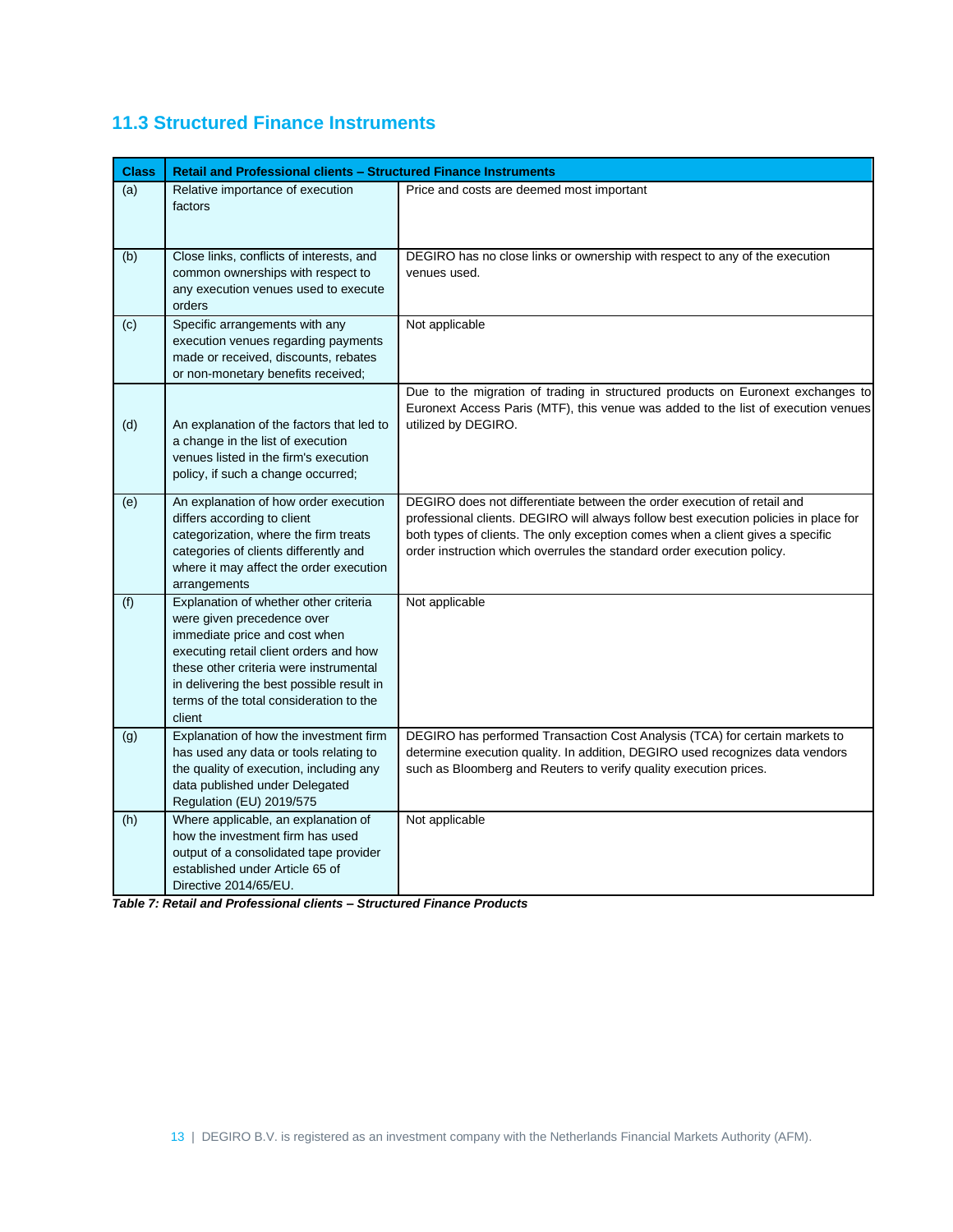#### <span id="page-12-0"></span>**11.3 Structured Finance Instruments**

| <b>Class</b> | Retail and Professional clients - Structured Finance Instruments                                                                                                                                                                                                                           |                                                                                                                                                                                                                                                                                                                             |
|--------------|--------------------------------------------------------------------------------------------------------------------------------------------------------------------------------------------------------------------------------------------------------------------------------------------|-----------------------------------------------------------------------------------------------------------------------------------------------------------------------------------------------------------------------------------------------------------------------------------------------------------------------------|
| (a)          | Relative importance of execution<br>factors                                                                                                                                                                                                                                                | Price and costs are deemed most important                                                                                                                                                                                                                                                                                   |
| (b)          | Close links, conflicts of interests, and<br>common ownerships with respect to<br>any execution venues used to execute<br>orders                                                                                                                                                            | DEGIRO has no close links or ownership with respect to any of the execution<br>venues used.                                                                                                                                                                                                                                 |
| (c)          | Specific arrangements with any<br>execution venues regarding payments<br>made or received, discounts, rebates<br>or non-monetary benefits received;                                                                                                                                        | Not applicable                                                                                                                                                                                                                                                                                                              |
| (d)          | An explanation of the factors that led to<br>a change in the list of execution<br>venues listed in the firm's execution<br>policy, if such a change occurred;                                                                                                                              | Due to the migration of trading in structured products on Euronext exchanges to<br>Euronext Access Paris (MTF), this venue was added to the list of execution venues<br>utilized by DEGIRO.                                                                                                                                 |
| (e)          | An explanation of how order execution<br>differs according to client<br>categorization, where the firm treats<br>categories of clients differently and<br>where it may affect the order execution<br>arrangements                                                                          | DEGIRO does not differentiate between the order execution of retail and<br>professional clients. DEGIRO will always follow best execution policies in place for<br>both types of clients. The only exception comes when a client gives a specific<br>order instruction which overrules the standard order execution policy. |
| (f)          | Explanation of whether other criteria<br>were given precedence over<br>immediate price and cost when<br>executing retail client orders and how<br>these other criteria were instrumental<br>in delivering the best possible result in<br>terms of the total consideration to the<br>client | Not applicable                                                                                                                                                                                                                                                                                                              |
| (g)          | Explanation of how the investment firm<br>has used any data or tools relating to<br>the quality of execution, including any<br>data published under Delegated<br>Regulation (EU) 2019/575                                                                                                  | DEGIRO has performed Transaction Cost Analysis (TCA) for certain markets to<br>determine execution quality. In addition, DEGIRO used recognizes data vendors<br>such as Bloomberg and Reuters to verify quality execution prices.                                                                                           |
| (h)          | Where applicable, an explanation of<br>how the investment firm has used<br>output of a consolidated tape provider<br>established under Article 65 of<br>Directive 2014/65/EU.                                                                                                              | Not applicable                                                                                                                                                                                                                                                                                                              |

*Table 7: Retail and Professional clients – Structured Finance Products*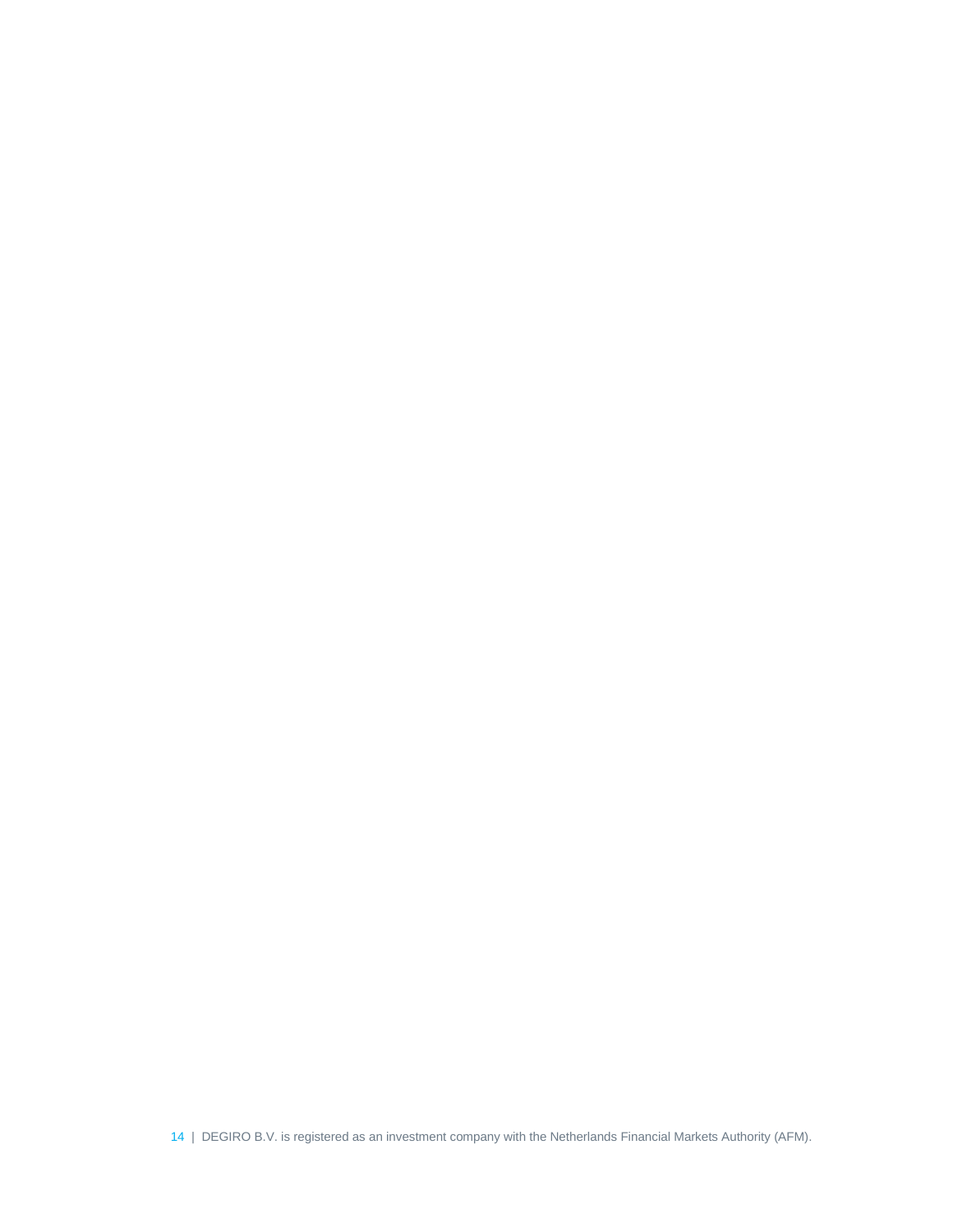14 | DEGIRO B.V. is registered as an investment company with the Netherlands Financial Markets Authority (AFM).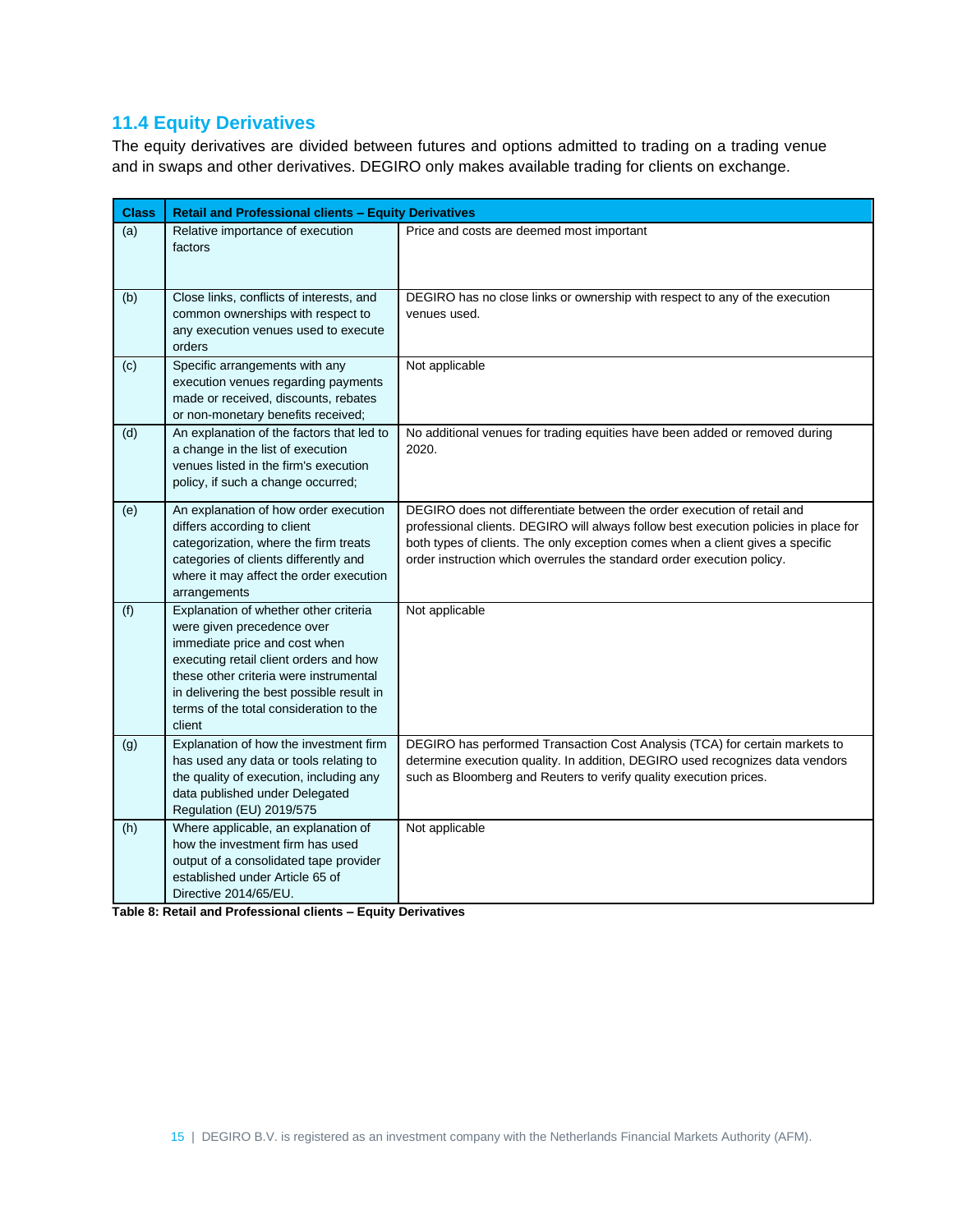#### <span id="page-14-0"></span>**11.4 Equity Derivatives**

The equity derivatives are divided between futures and options admitted to trading on a trading venue and in swaps and other derivatives. DEGIRO only makes available trading for clients on exchange.

| <b>Class</b> | <b>Retail and Professional clients - Equity Derivatives</b>                                                                                                                                                                                                                                |                                                                                                                                                                                                                                                                                                                             |
|--------------|--------------------------------------------------------------------------------------------------------------------------------------------------------------------------------------------------------------------------------------------------------------------------------------------|-----------------------------------------------------------------------------------------------------------------------------------------------------------------------------------------------------------------------------------------------------------------------------------------------------------------------------|
| (a)          | Relative importance of execution<br>factors                                                                                                                                                                                                                                                | Price and costs are deemed most important                                                                                                                                                                                                                                                                                   |
| (b)          | Close links, conflicts of interests, and<br>common ownerships with respect to<br>any execution venues used to execute<br>orders                                                                                                                                                            | DEGIRO has no close links or ownership with respect to any of the execution<br>venues used.                                                                                                                                                                                                                                 |
| (c)          | Specific arrangements with any<br>execution venues regarding payments<br>made or received, discounts, rebates<br>or non-monetary benefits received;                                                                                                                                        | Not applicable                                                                                                                                                                                                                                                                                                              |
| (d)          | An explanation of the factors that led to<br>a change in the list of execution<br>venues listed in the firm's execution<br>policy, if such a change occurred;                                                                                                                              | No additional venues for trading equities have been added or removed during<br>2020.                                                                                                                                                                                                                                        |
| (e)          | An explanation of how order execution<br>differs according to client<br>categorization, where the firm treats<br>categories of clients differently and<br>where it may affect the order execution<br>arrangements                                                                          | DEGIRO does not differentiate between the order execution of retail and<br>professional clients. DEGIRO will always follow best execution policies in place for<br>both types of clients. The only exception comes when a client gives a specific<br>order instruction which overrules the standard order execution policy. |
| (f)          | Explanation of whether other criteria<br>were given precedence over<br>immediate price and cost when<br>executing retail client orders and how<br>these other criteria were instrumental<br>in delivering the best possible result in<br>terms of the total consideration to the<br>client | Not applicable                                                                                                                                                                                                                                                                                                              |
| (g)          | Explanation of how the investment firm<br>has used any data or tools relating to<br>the quality of execution, including any<br>data published under Delegated<br>Regulation (EU) 2019/575                                                                                                  | DEGIRO has performed Transaction Cost Analysis (TCA) for certain markets to<br>determine execution quality. In addition, DEGIRO used recognizes data vendors<br>such as Bloomberg and Reuters to verify quality execution prices.                                                                                           |
| (h)          | Where applicable, an explanation of<br>how the investment firm has used<br>output of a consolidated tape provider<br>established under Article 65 of<br>Directive 2014/65/EU.                                                                                                              | Not applicable                                                                                                                                                                                                                                                                                                              |

**Table 8: Retail and Professional clients – Equity Derivatives**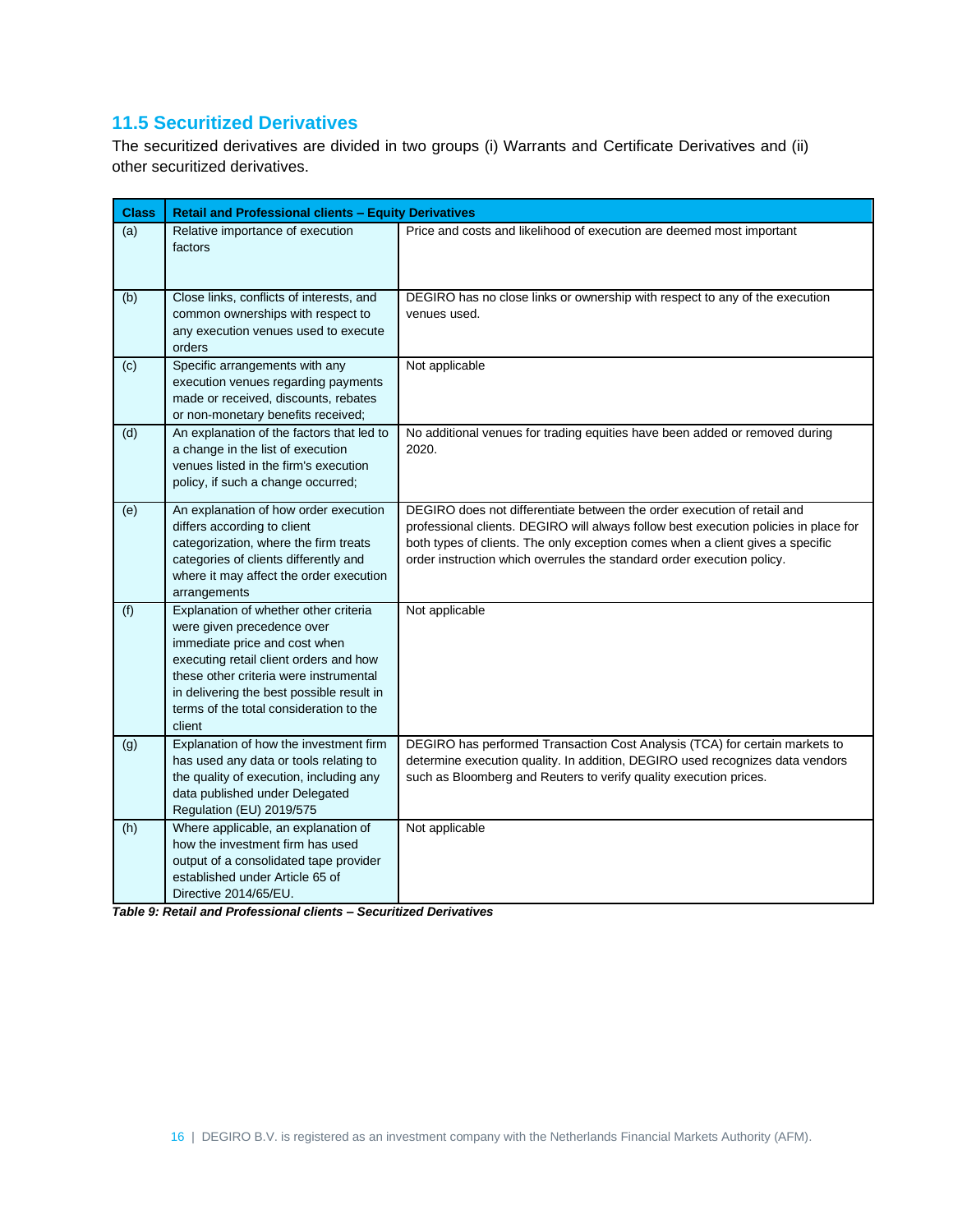#### <span id="page-15-0"></span>**11.5 Securitized Derivatives**

The securitized derivatives are divided in two groups (i) Warrants and Certificate Derivatives and (ii) other securitized derivatives.

| <b>Class</b> | <b>Retail and Professional clients - Equity Derivatives</b>                                                                                                                                                                                                                                |                                                                                                                                                                                                                                                                                                                             |
|--------------|--------------------------------------------------------------------------------------------------------------------------------------------------------------------------------------------------------------------------------------------------------------------------------------------|-----------------------------------------------------------------------------------------------------------------------------------------------------------------------------------------------------------------------------------------------------------------------------------------------------------------------------|
| (a)          | Relative importance of execution<br>factors                                                                                                                                                                                                                                                | Price and costs and likelihood of execution are deemed most important                                                                                                                                                                                                                                                       |
| (b)          | Close links, conflicts of interests, and<br>common ownerships with respect to<br>any execution venues used to execute<br>orders                                                                                                                                                            | DEGIRO has no close links or ownership with respect to any of the execution<br>venues used.                                                                                                                                                                                                                                 |
| (c)          | Specific arrangements with any<br>execution venues regarding payments<br>made or received, discounts, rebates<br>or non-monetary benefits received;                                                                                                                                        | Not applicable                                                                                                                                                                                                                                                                                                              |
| (d)          | An explanation of the factors that led to<br>a change in the list of execution<br>venues listed in the firm's execution<br>policy, if such a change occurred;                                                                                                                              | No additional venues for trading equities have been added or removed during<br>2020.                                                                                                                                                                                                                                        |
| (e)          | An explanation of how order execution<br>differs according to client<br>categorization, where the firm treats<br>categories of clients differently and<br>where it may affect the order execution<br>arrangements                                                                          | DEGIRO does not differentiate between the order execution of retail and<br>professional clients. DEGIRO will always follow best execution policies in place for<br>both types of clients. The only exception comes when a client gives a specific<br>order instruction which overrules the standard order execution policy. |
| (f)          | Explanation of whether other criteria<br>were given precedence over<br>immediate price and cost when<br>executing retail client orders and how<br>these other criteria were instrumental<br>in delivering the best possible result in<br>terms of the total consideration to the<br>client | Not applicable                                                                                                                                                                                                                                                                                                              |
| (g)          | Explanation of how the investment firm<br>has used any data or tools relating to<br>the quality of execution, including any<br>data published under Delegated<br>Regulation (EU) 2019/575                                                                                                  | DEGIRO has performed Transaction Cost Analysis (TCA) for certain markets to<br>determine execution quality. In addition, DEGIRO used recognizes data vendors<br>such as Bloomberg and Reuters to verify quality execution prices.                                                                                           |
| (h)          | Where applicable, an explanation of<br>how the investment firm has used<br>output of a consolidated tape provider<br>established under Article 65 of<br>Directive 2014/65/EU.                                                                                                              | Not applicable                                                                                                                                                                                                                                                                                                              |

*Table 9: Retail and Professional clients – Securitized Derivatives*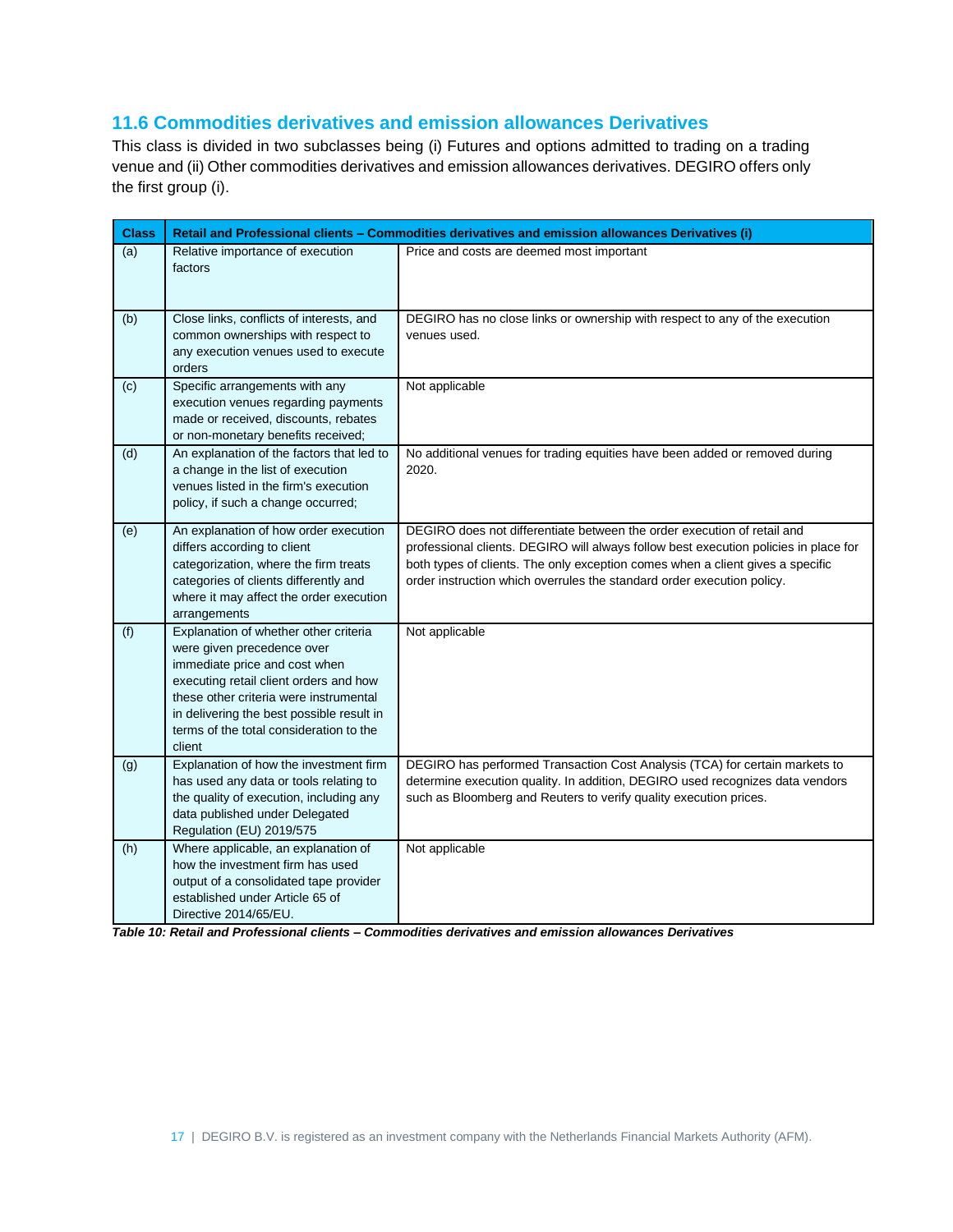#### <span id="page-16-0"></span>**11.6 Commodities derivatives and emission allowances Derivatives**

This class is divided in two subclasses being (i) Futures and options admitted to trading on a trading venue and (ii) Other commodities derivatives and emission allowances derivatives. DEGIRO offers only the first group (i).

| <b>Class</b> |                                                                                                                                                                                                                                                                                            | Retail and Professional clients - Commodities derivatives and emission allowances Derivatives (i)                                                                                                                                                                                                                           |
|--------------|--------------------------------------------------------------------------------------------------------------------------------------------------------------------------------------------------------------------------------------------------------------------------------------------|-----------------------------------------------------------------------------------------------------------------------------------------------------------------------------------------------------------------------------------------------------------------------------------------------------------------------------|
| (a)          | Relative importance of execution<br>factors                                                                                                                                                                                                                                                | Price and costs are deemed most important                                                                                                                                                                                                                                                                                   |
| (b)          | Close links, conflicts of interests, and<br>common ownerships with respect to<br>any execution venues used to execute<br>orders                                                                                                                                                            | DEGIRO has no close links or ownership with respect to any of the execution<br>venues used.                                                                                                                                                                                                                                 |
| (c)          | Specific arrangements with any<br>execution venues regarding payments<br>made or received, discounts, rebates<br>or non-monetary benefits received;                                                                                                                                        | Not applicable                                                                                                                                                                                                                                                                                                              |
| (d)          | An explanation of the factors that led to<br>a change in the list of execution<br>venues listed in the firm's execution<br>policy, if such a change occurred;                                                                                                                              | No additional venues for trading equities have been added or removed during<br>2020.                                                                                                                                                                                                                                        |
| (e)          | An explanation of how order execution<br>differs according to client<br>categorization, where the firm treats<br>categories of clients differently and<br>where it may affect the order execution<br>arrangements                                                                          | DEGIRO does not differentiate between the order execution of retail and<br>professional clients. DEGIRO will always follow best execution policies in place for<br>both types of clients. The only exception comes when a client gives a specific<br>order instruction which overrules the standard order execution policy. |
| (f)          | Explanation of whether other criteria<br>were given precedence over<br>immediate price and cost when<br>executing retail client orders and how<br>these other criteria were instrumental<br>in delivering the best possible result in<br>terms of the total consideration to the<br>client | Not applicable                                                                                                                                                                                                                                                                                                              |
| (g)          | Explanation of how the investment firm<br>has used any data or tools relating to<br>the quality of execution, including any<br>data published under Delegated<br>Regulation (EU) 2019/575                                                                                                  | DEGIRO has performed Transaction Cost Analysis (TCA) for certain markets to<br>determine execution quality. In addition, DEGIRO used recognizes data vendors<br>such as Bloomberg and Reuters to verify quality execution prices.                                                                                           |
| (h)          | Where applicable, an explanation of<br>how the investment firm has used<br>output of a consolidated tape provider<br>established under Article 65 of<br>Directive 2014/65/EU.                                                                                                              | Not applicable                                                                                                                                                                                                                                                                                                              |

*Table 10: Retail and Professional clients – Commodities derivatives and emission allowances Derivatives*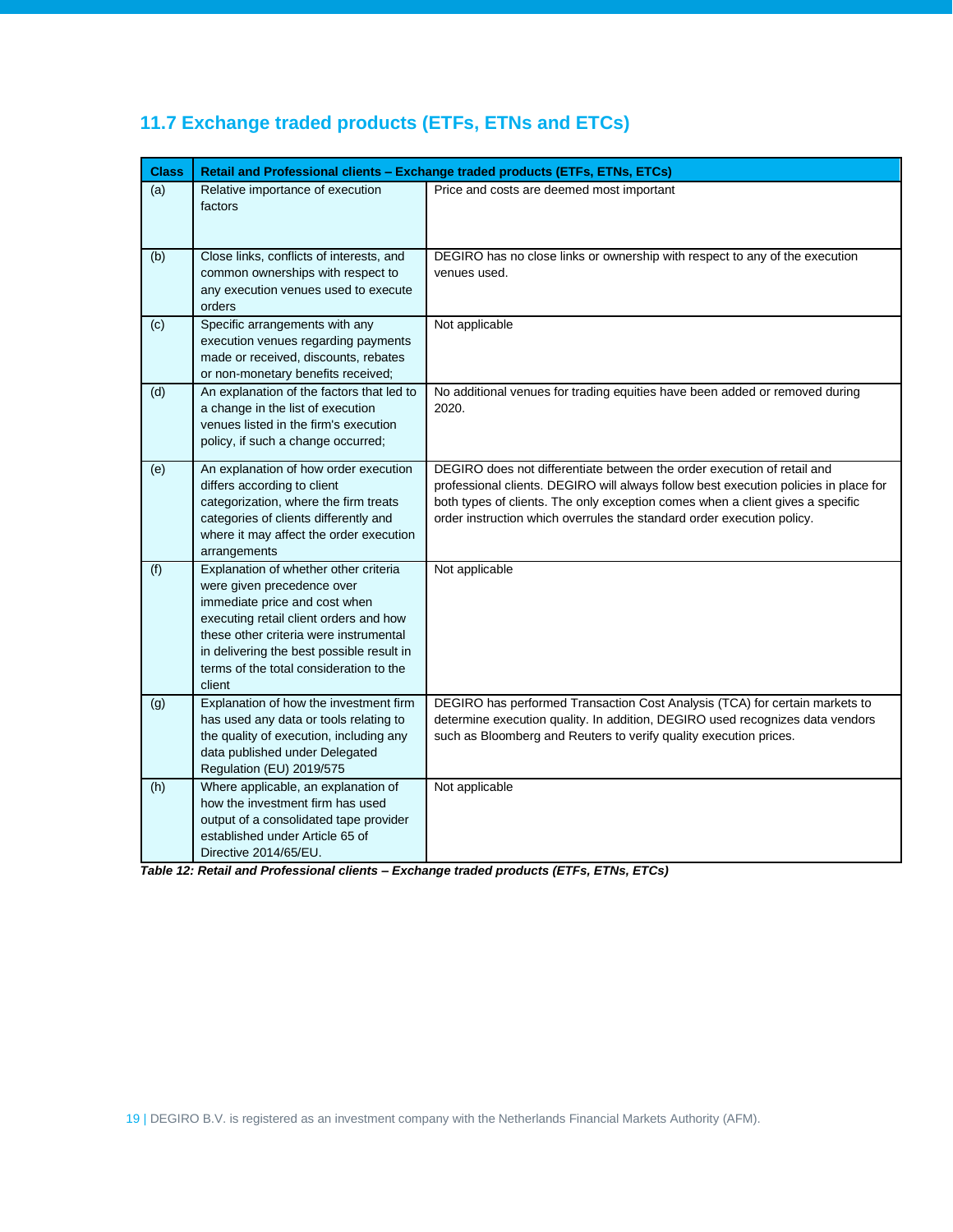| <b>Class</b> |                                                                                                                                                                                                                                                                                            | Retail and Professional clients - Exchange traded products (ETFs, ETNs, ETCs)                                                                                                                                                                                                                                               |
|--------------|--------------------------------------------------------------------------------------------------------------------------------------------------------------------------------------------------------------------------------------------------------------------------------------------|-----------------------------------------------------------------------------------------------------------------------------------------------------------------------------------------------------------------------------------------------------------------------------------------------------------------------------|
| (a)          | Relative importance of execution<br>factors                                                                                                                                                                                                                                                | Price and costs are deemed most important                                                                                                                                                                                                                                                                                   |
| (b)          | Close links, conflicts of interests, and<br>common ownerships with respect to<br>any execution venues used to execute<br>orders                                                                                                                                                            | DEGIRO has no close links or ownership with respect to any of the execution<br>venues used.                                                                                                                                                                                                                                 |
| (c)          | Specific arrangements with any<br>execution venues regarding payments<br>made or received, discounts, rebates<br>or non-monetary benefits received;                                                                                                                                        | Not applicable                                                                                                                                                                                                                                                                                                              |
| (d)          | An explanation of the factors that led to<br>a change in the list of execution<br>venues listed in the firm's execution<br>policy, if such a change occurred;                                                                                                                              | No additional venues for trading equities have been added or removed during<br>2020.                                                                                                                                                                                                                                        |
| (e)          | An explanation of how order execution<br>differs according to client<br>categorization, where the firm treats<br>categories of clients differently and<br>where it may affect the order execution<br>arrangements                                                                          | DEGIRO does not differentiate between the order execution of retail and<br>professional clients. DEGIRO will always follow best execution policies in place for<br>both types of clients. The only exception comes when a client gives a specific<br>order instruction which overrules the standard order execution policy. |
| (f)          | Explanation of whether other criteria<br>were given precedence over<br>immediate price and cost when<br>executing retail client orders and how<br>these other criteria were instrumental<br>in delivering the best possible result in<br>terms of the total consideration to the<br>client | Not applicable                                                                                                                                                                                                                                                                                                              |
| (g)          | Explanation of how the investment firm<br>has used any data or tools relating to<br>the quality of execution, including any<br>data published under Delegated<br>Regulation (EU) 2019/575                                                                                                  | DEGIRO has performed Transaction Cost Analysis (TCA) for certain markets to<br>determine execution quality. In addition, DEGIRO used recognizes data vendors<br>such as Bloomberg and Reuters to verify quality execution prices.                                                                                           |
| (h)          | Where applicable, an explanation of<br>how the investment firm has used<br>output of a consolidated tape provider<br>established under Article 65 of<br>Directive 2014/65/EU.                                                                                                              | Not applicable                                                                                                                                                                                                                                                                                                              |

### <span id="page-17-0"></span>**11.7 Exchange traded products (ETFs, ETNs and ETCs)**

*Table 12: Retail and Professional clients – Exchange traded products (ETFs, ETNs, ETCs)*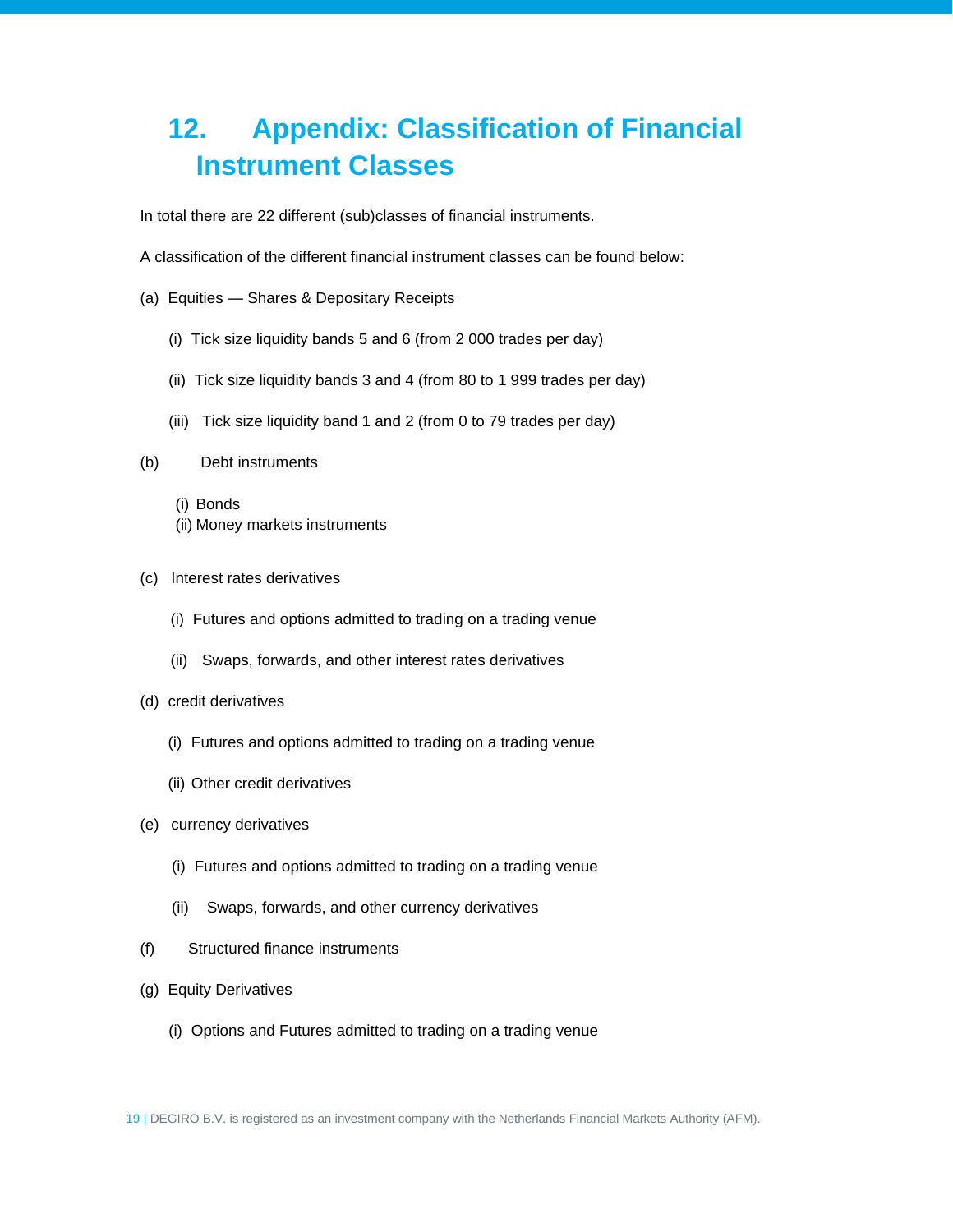# <span id="page-18-0"></span>**12. Appendix: Classification of Financial Instrument Classes**

In total there are 22 different (sub)classes of financial instruments.

A classification of the different financial instrument classes can be found below:

- (a) Equities Shares & Depositary Receipts
	- (i) Tick size liquidity bands 5 and 6 (from 2 000 trades per day)
	- (ii) Tick size liquidity bands 3 and 4 (from 80 to 1 999 trades per day)
	- (iii) Tick size liquidity band 1 and 2 (from 0 to 79 trades per day)
- (b) Debt instruments
	- (i) Bonds (ii) Money markets instruments
- (c) Interest rates derivatives
	- (i) Futures and options admitted to trading on a trading venue
	- (ii) Swaps, forwards, and other interest rates derivatives
- (d) credit derivatives
	- (i) Futures and options admitted to trading on a trading venue
	- (ii) Other credit derivatives
- (e) currency derivatives
	- (i) Futures and options admitted to trading on a trading venue
	- (ii) Swaps, forwards, and other currency derivatives
- (f) Structured finance instruments
- (g) Equity Derivatives
	- (i) Options and Futures admitted to trading on a trading venue